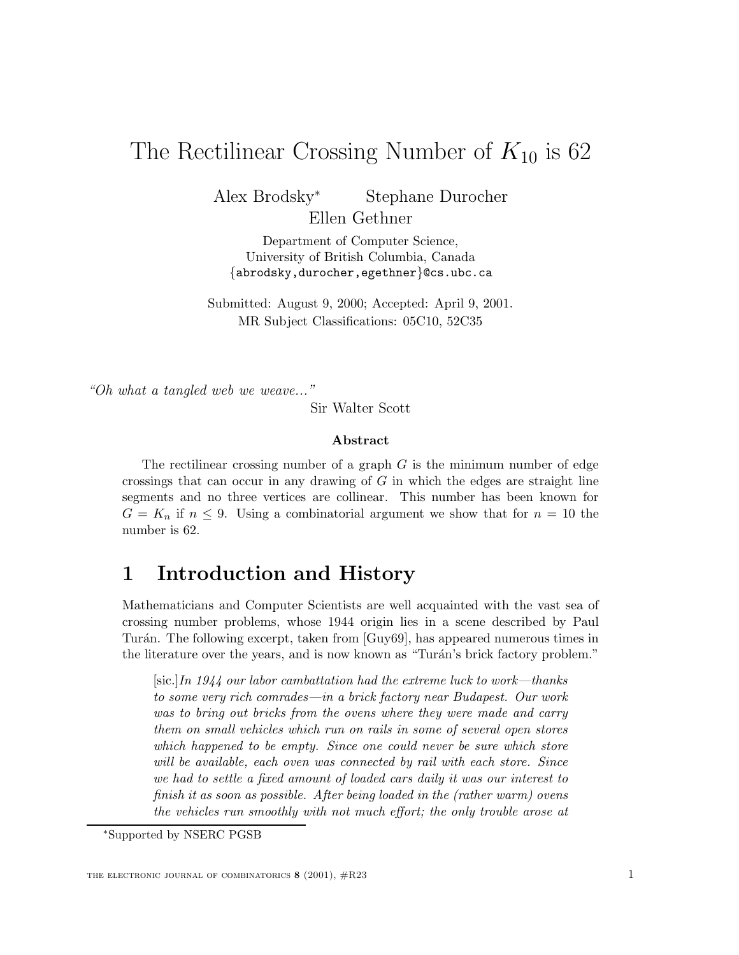# The Rectilinear Crossing Number of  $K_{10}$  is 62

Alex Brodsky<sup>∗</sup> Stephane Durocher

Ellen Gethner

Department of Computer Science, University of British Columbia, Canada {abrodsky,durocher,egethner}@cs.ubc.ca

Submitted: August 9, 2000; Accepted: April 9, 2001. MR Subject Classifications: 05C10, 52C35

"Oh what a tangled web we weave..."

Sir Walter Scott

### **Abstract**

The rectilinear crossing number of a graph  $G$  is the minimum number of edge crossings that can occur in any drawing of  $G$  in which the edges are straight line segments and no three vertices are collinear. This number has been known for  $G = K_n$  if  $n \leq 9$ . Using a combinatorial argument we show that for  $n = 10$  the number is 62.

# **1 Introduction and History**

Mathematicians and Computer Scientists are well acquainted with the vast sea of crossing number problems, whose 1944 origin lies in a scene described by Paul Tur´an. The following excerpt, taken from [Guy69], has appeared numerous times in the literature over the years, and is now known as "Turán's brick factory problem."

[sic.]*In 1944 our labor cambattation had the extreme luck to work—thanks to some very rich comrades—in a brick factory near Budapest. Our work was to bring out bricks from the ovens where they were made and carry them on small vehicles which run on rails in some of several open stores which happened to be empty. Since one could never be sure which store will be available, each oven was connected by rail with each store. Since we had to settle a fixed amount of loaded cars daily it was our interest to finish it as soon as possible. After being loaded in the (rather warm) ovens the vehicles run smoothly with not much effort; the only trouble arose at*

<sup>∗</sup>Supported by NSERC PGSB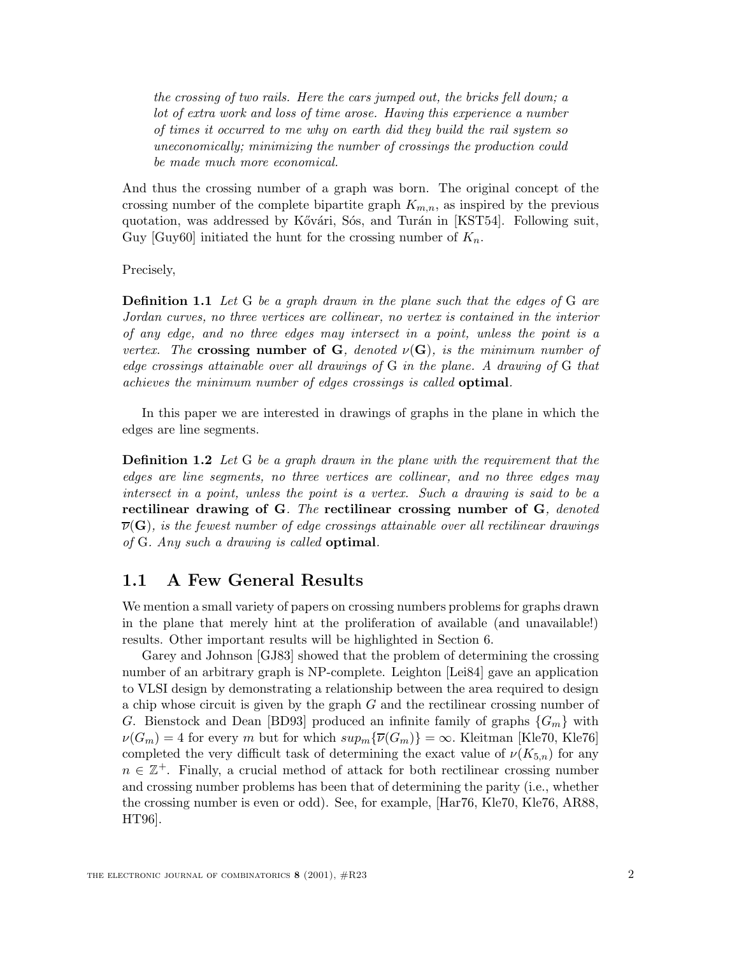*the crossing of two rails. Here the cars jumped out, the bricks fell down; a lot of extra work and loss of time arose. Having this experience a number of times it occurred to me why on earth did they build the rail system so uneconomically; minimizing the number of crossings the production could be made much more economical.*

And thus the crossing number of a graph was born. The original concept of the crossing number of the complete bipartite graph  $K_{m,n}$ , as inspired by the previous quotation, was addressed by Kővári, Sós, and Turán in [KST54]. Following suit, Guy [Guy60] initiated the hunt for the crossing number of  $K_n$ .

Precisely,

**Definition 1.1** *Let* G *be a graph drawn in the plane such that the edges of* G *are Jordan curves, no three vertices are collinear, no vertex is contained in the interior of any edge, and no three edges may intersect in a point, unless the point is a vertex. The* **crossing number of G***, denoted*  $\nu(G)$ *, is the minimum number of edge crossings attainable over all drawings of* G *in the plane. A drawing of* G *that achieves the minimum number of edges crossings is called* **optimal***.*

In this paper we are interested in drawings of graphs in the plane in which the edges are line segments.

**Definition 1.2** *Let* G *be a graph drawn in the plane with the requirement that the edges are line segments, no three vertices are collinear, and no three edges may intersect in a point, unless the point is a vertex. Such a drawing is said to be a* **rectilinear drawing of G***. The* **rectilinear crossing number of G***, denoted*  $\overline{\nu}(\mathbf{G})$ *, is the fewest number of edge crossings attainable over all rectilinear drawings of* G*. Any such a drawing is called* **optimal***.*

## **1.1 A Few General Results**

We mention a small variety of papers on crossing numbers problems for graphs drawn in the plane that merely hint at the proliferation of available (and unavailable!) results. Other important results will be highlighted in Section 6.

Garey and Johnson [GJ83] showed that the problem of determining the crossing number of an arbitrary graph is NP-complete. Leighton [Lei84] gave an application to VLSI design by demonstrating a relationship between the area required to design a chip whose circuit is given by the graph G and the rectilinear crossing number of G. Bienstock and Dean [BD93] produced an infinite family of graphs  ${G_m}$  with  $\nu(G_m) = 4$  for every m but for which  $sup_m {\{\overline{\nu}(G_m)\}} = \infty$ . Kleitman [Kle70, Kle76] completed the very difficult task of determining the exact value of  $\nu(K_{5,n})$  for any  $n \in \mathbb{Z}^+$ . Finally, a crucial method of attack for both rectilinear crossing number and crossing number problems has been that of determining the parity (i.e., whether the crossing number is even or odd). See, for example, [Har76, Kle70, Kle76, AR88, HT96].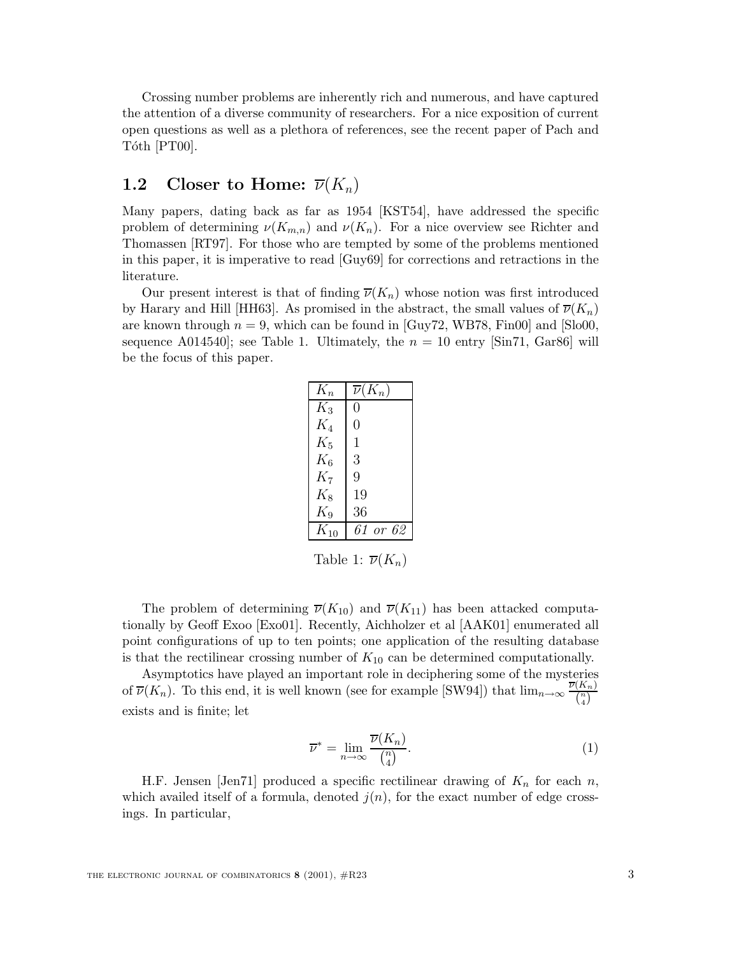Crossing number problems are inherently rich and numerous, and have captured the attention of a diverse community of researchers. For a nice exposition of current open questions as well as a plethora of references, see the recent paper of Pach and Tóth [PT00].

# **1.2** Closer to Home:  $\overline{\nu}(K_n)$

Many papers, dating back as far as 1954 [KST54], have addressed the specific problem of determining  $\nu(K_{m,n})$  and  $\nu(K_n)$ . For a nice overview see Richter and Thomassen [RT97]. For those who are tempted by some of the problems mentioned in this paper, it is imperative to read [Guy69] for corrections and retractions in the literature.

Our present interest is that of finding  $\overline{\nu}(K_n)$  whose notion was first introduced by Harary and Hill [HH63]. As promised in the abstract, the small values of  $\overline{\nu}(K_n)$ are known through  $n = 9$ , which can be found in [Guy72, WB78, Fin00] and [Slo00, sequence A014540]; see Table 1. Ultimately, the  $n = 10$  entry [Sin71, Gar86] will be the focus of this paper.

| $K_n$    | $\overline{\nu}(K_n)$ |
|----------|-----------------------|
| $K_3$    | 0                     |
| $K_4$    | 0                     |
| $K_5$    | $\mathbf 1$           |
| $K_6$    | 3                     |
| $K_7$    | 9                     |
| $K_8$    | 19                    |
| $K_9$    | 36                    |
| $K_{10}$ | 61 or 62              |
|          |                       |

Table 1:  $\overline{\nu}(K_n)$ 

The problem of determining  $\overline{\nu}(K_{10})$  and  $\overline{\nu}(K_{11})$  has been attacked computationally by Geoff Exoo [Exo01]. Recently, Aichholzer et al [AAK01] enumerated all point configurations of up to ten points; one application of the resulting database is that the rectilinear crossing number of  $K_{10}$  can be determined computationally.

Asymptotics have played an important role in deciphering some of the mysteries of  $\overline{\nu}(K_n)$ . To this end, it is well known (see for example [SW94]) that  $\lim_{n\to\infty} \frac{\overline{\nu}(K_n)}{\binom{n}{4}}$ exists and is finite; let

$$
\overline{\nu}^* = \lim_{n \to \infty} \frac{\overline{\nu}(K_n)}{\binom{n}{4}}.
$$
\n(1)

H.F. Jensen [Jen71] produced a specific rectilinear drawing of  $K_n$  for each n, which availed itself of a formula, denoted  $j(n)$ , for the exact number of edge crossings. In particular,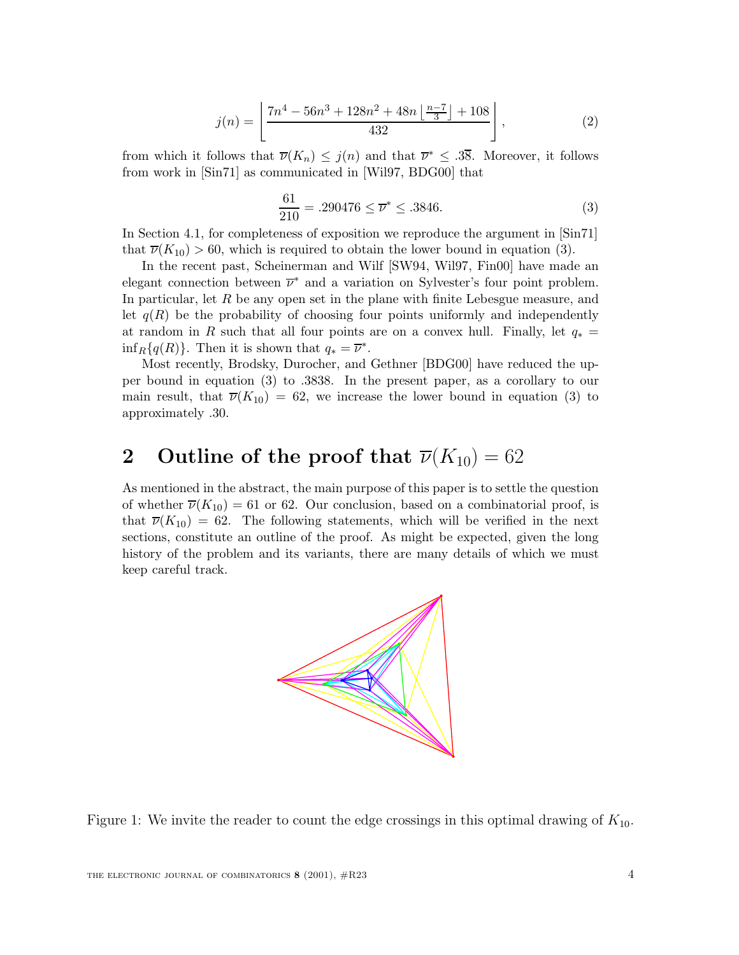$$
j(n) = \left\lfloor \frac{7n^4 - 56n^3 + 128n^2 + 48n\left\lfloor \frac{n-7}{3} \right\rfloor + 108}{432} \right\rfloor, \tag{2}
$$

from which it follows that  $\overline{\nu}(K_n) \leq j(n)$  and that  $\overline{\nu}^* \leq .38$ . Moreover, it follows from work in [Sin71] as communicated in [Wil97, BDG00] that

$$
\frac{61}{210} = .290476 \le \overline{\nu}^* \le .3846. \tag{3}
$$

In Section 4.1, for completeness of exposition we reproduce the argument in [Sin71] that  $\overline{\nu}(K_{10}) > 60$ , which is required to obtain the lower bound in equation (3).

In the recent past, Scheinerman and Wilf [SW94, Wil97, Fin00] have made an elegant connection between  $\overline{\nu}^*$  and a variation on Sylvester's four point problem. In particular, let R be any open set in the plane with finite Lebesgue measure, and let  $q(R)$  be the probability of choosing four points uniformly and independently at random in R such that all four points are on a convex hull. Finally, let  $q_* =$  $\inf_R{q(R)}$ . Then it is shown that  $q_* = \overline{\nu}^*$ .

Most recently, Brodsky, Durocher, and Gethner [BDG00] have reduced the upper bound in equation (3) to .3838. In the present paper, as a corollary to our main result, that  $\overline{\nu}(K_{10}) = 62$ , we increase the lower bound in equation (3) to approximately .30.

# **2** Outline of the proof that  $\overline{\nu}(K_{10}) = 62$

As mentioned in the abstract, the main purpose of this paper is to settle the question of whether  $\overline{\nu}(K_{10}) = 61$  or 62. Our conclusion, based on a combinatorial proof, is that  $\overline{\nu}(K_{10}) = 62$ . The following statements, which will be verified in the next sections, constitute an outline of the proof. As might be expected, given the long history of the problem and its variants, there are many details of which we must keep careful track.



Figure 1: We invite the reader to count the edge crossings in this optimal drawing of  $K_{10}$ .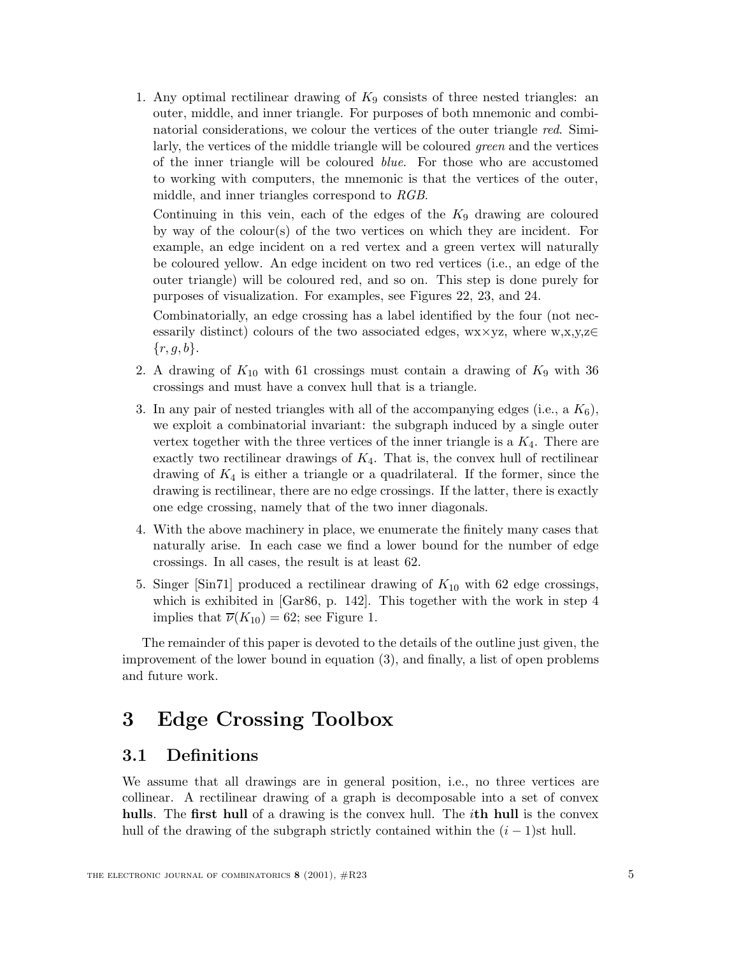1. Any optimal rectilinear drawing of  $K_9$  consists of three nested triangles: an outer, middle, and inner triangle. For purposes of both mnemonic and combinatorial considerations, we colour the vertices of the outer triangle *red*. Similarly, the vertices of the middle triangle will be coloured *green* and the vertices of the inner triangle will be coloured *blue*. For those who are accustomed to working with computers, the mnemonic is that the vertices of the outer, middle, and inner triangles correspond to *RGB*.

Continuing in this vein, each of the edges of the  $K_9$  drawing are coloured by way of the colour(s) of the two vertices on which they are incident. For example, an edge incident on a red vertex and a green vertex will naturally be coloured yellow. An edge incident on two red vertices (i.e., an edge of the outer triangle) will be coloured red, and so on. This step is done purely for purposes of visualization. For examples, see Figures 22, 23, and 24.

Combinatorially, an edge crossing has a label identified by the four (not necessarily distinct) colours of the two associated edges, wx×yz, where w,x,y,z∈  $\{r, g, b\}.$ 

- 2. A drawing of  $K_{10}$  with 61 crossings must contain a drawing of  $K_9$  with 36 crossings and must have a convex hull that is a triangle.
- 3. In any pair of nested triangles with all of the accompanying edges (i.e., a  $K_6$ ), we exploit a combinatorial invariant: the subgraph induced by a single outer vertex together with the three vertices of the inner triangle is a  $K_4$ . There are exactly two rectilinear drawings of  $K_4$ . That is, the convex hull of rectilinear drawing of  $K_4$  is either a triangle or a quadrilateral. If the former, since the drawing is rectilinear, there are no edge crossings. If the latter, there is exactly one edge crossing, namely that of the two inner diagonals.
- 4. With the above machinery in place, we enumerate the finitely many cases that naturally arise. In each case we find a lower bound for the number of edge crossings. In all cases, the result is at least 62.
- 5. Singer [Sin71] produced a rectilinear drawing of  $K_{10}$  with 62 edge crossings, which is exhibited in [Gar86, p. 142]. This together with the work in step 4 implies that  $\overline{\nu}(K_{10}) = 62$ ; see Figure 1.

The remainder of this paper is devoted to the details of the outline just given, the improvement of the lower bound in equation (3), and finally, a list of open problems and future work.

# **3 Edge Crossing Toolbox**

## **3.1 Definitions**

We assume that all drawings are in general position, i.e., no three vertices are collinear. A rectilinear drawing of a graph is decomposable into a set of convex **hulls**. The **first hull** of a drawing is the convex hull. The i**th hull** is the convex hull of the drawing of the subgraph strictly contained within the  $(i - 1)$ st hull.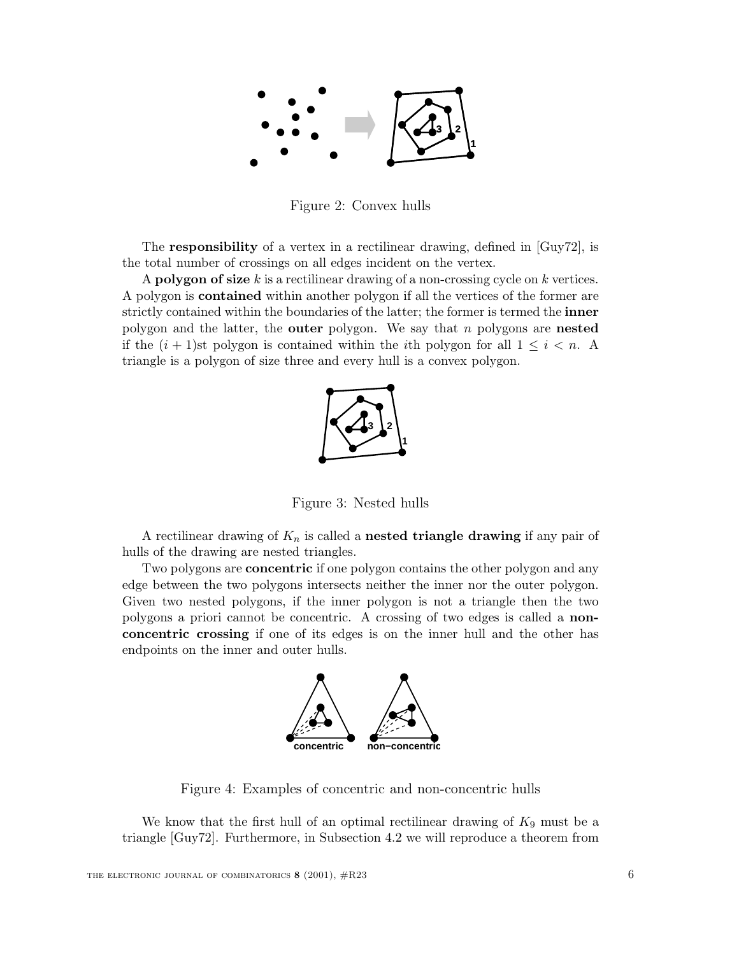

Figure 2: Convex hulls

The **responsibility** of a vertex in a rectilinear drawing, defined in [Guy72], is the total number of crossings on all edges incident on the vertex.

<sup>A</sup> **polygon of size** k is a rectilinear drawing of a non-crossing cycle on k vertices. A polygon is **contained** within another polygon if all the vertices of the former are strictly contained within the boundaries of the latter; the former is termed the **inner** polygon and the latter, the **outer** polygon. We say that n polygons are **nested** if the  $(i + 1)$ st polygon is contained within the *i*th polygon for all  $1 \leq i \leq n$ . A triangle is a polygon of size three and every hull is a convex polygon.



Figure 3: Nested hulls

A rectilinear drawing of  $K_n$  is called a **nested triangle drawing** if any pair of hulls of the drawing are nested triangles.

Two polygons are **concentric** if one polygon contains the other polygon and any edge between the two polygons intersects neither the inner nor the outer polygon. Given two nested polygons, if the inner polygon is not a triangle then the two polygons a priori cannot be concentric. A crossing of two edges is called a **nonconcentric crossing** if one of its edges is on the inner hull and the other has endpoints on the inner and outer hulls.



Figure 4: Examples of concentric and non-concentric hulls

We know that the first hull of an optimal rectilinear drawing of  $K_9$  must be a triangle [Guy72]. Furthermore, in Subsection 4.2 we will reproduce a theorem from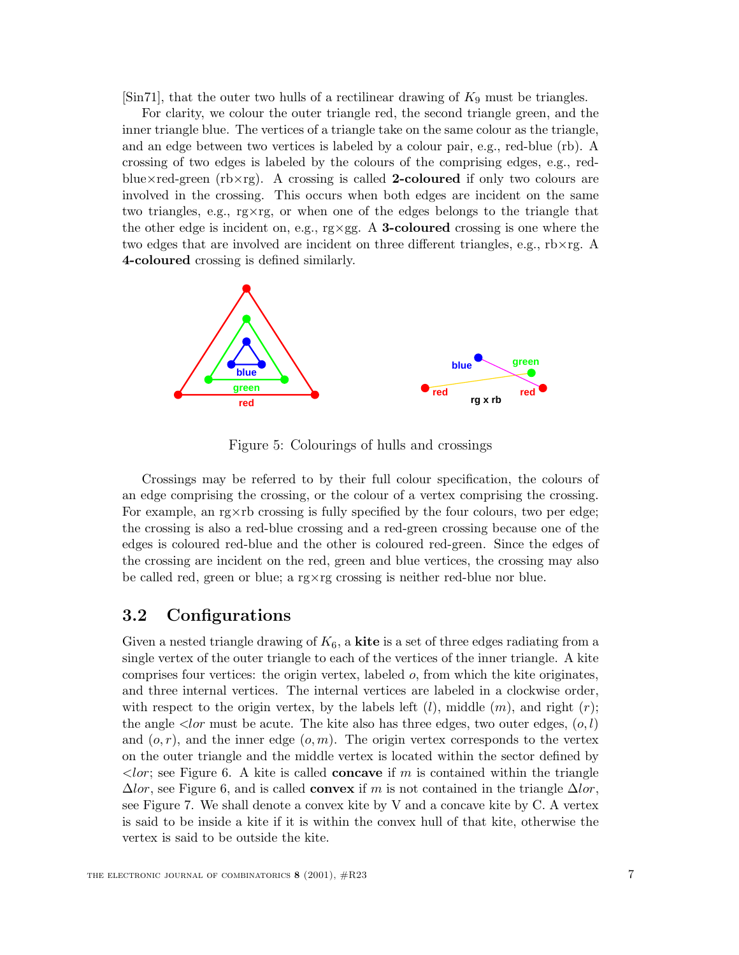[Sin71], that the outer two hulls of a rectilinear drawing of  $K_9$  must be triangles.

For clarity, we colour the outer triangle red, the second triangle green, and the inner triangle blue. The vertices of a triangle take on the same colour as the triangle, and an edge between two vertices is labeled by a colour pair, e.g., red-blue (rb). A crossing of two edges is labeled by the colours of the comprising edges, e.g., redblue×red-green (rb×rg). A crossing is called **2-coloured** if only two colours are involved in the crossing. This occurs when both edges are incident on the same two triangles, e.g., rg×rg, or when one of the edges belongs to the triangle that the other edge is incident on, e.g., rg×gg. A **3-coloured** crossing is one where the two edges that are involved are incident on three different triangles, e.g.,  $r\bar{b}\times r\bar{g}$ . **4-coloured** crossing is defined similarly.



Figure 5: Colourings of hulls and crossings

Crossings may be referred to by their full colour specification, the colours of an edge comprising the crossing, or the colour of a vertex comprising the crossing. For example, an  $r^2$  example, or example, so respectively specified by the four colours, two per edge; the crossing is also a red-blue crossing and a red-green crossing because one of the edges is coloured red-blue and the other is coloured red-green. Since the edges of the crossing are incident on the red, green and blue vertices, the crossing may also be called red, green or blue; a rg $\times$ rg crossing is neither red-blue nor blue.

## **3.2 Configurations**

Given a nested triangle drawing of  $K_6$ , a **kite** is a set of three edges radiating from a single vertex of the outer triangle to each of the vertices of the inner triangle. A kite comprises four vertices: the origin vertex, labeled  $o$ , from which the kite originates, and three internal vertices. The internal vertices are labeled in a clockwise order, with respect to the origin vertex, by the labels left  $(l)$ , middle  $(m)$ , and right  $(r)$ ; the angle  $\langle \text{lor must be acute.}$  The kite also has three edges, two outer edges,  $(o, l)$ and  $(o, r)$ , and the inner edge  $(o, m)$ . The origin vertex corresponds to the vertex on the outer triangle and the middle vertex is located within the sector defined by  $\langle$ lor; see Figure 6. A kite is called **concave** if m is contained within the triangle  $\Delta l \text{or}$ , see Figure 6, and is called **convex** if m is not contained in the triangle  $\Delta l \text{or}$ , see Figure 7. We shall denote a convex kite by V and a concave kite by C. A vertex is said to be inside a kite if it is within the convex hull of that kite, otherwise the vertex is said to be outside the kite.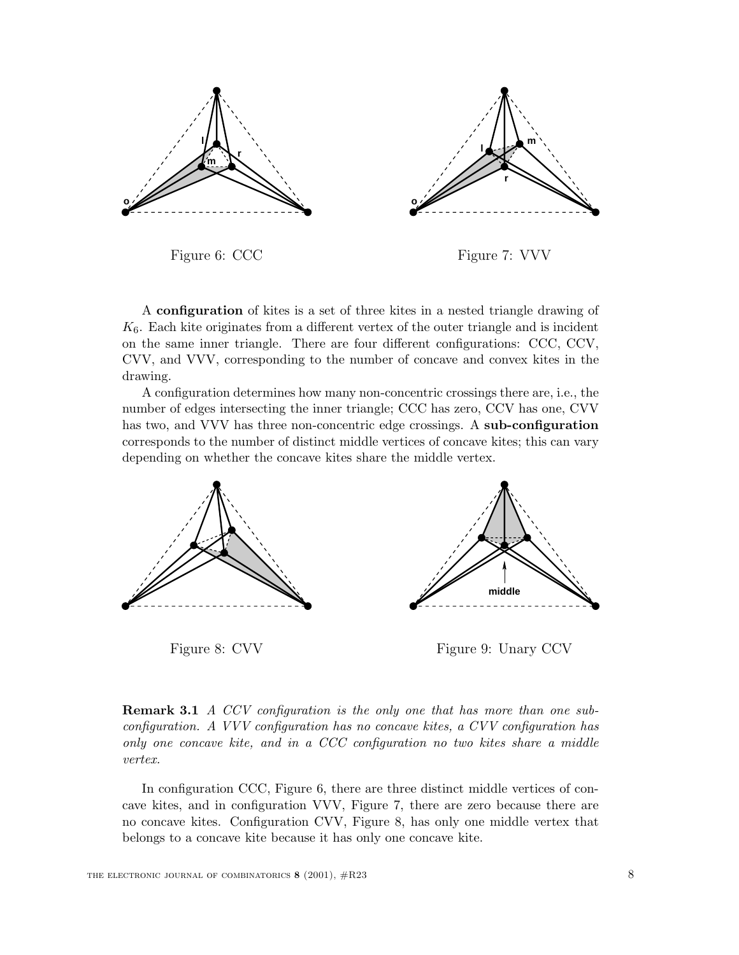



Figure 6: CCC

Figure 7: VVV

A **configuration** of kites is a set of three kites in a nested triangle drawing of  $K<sub>6</sub>$ . Each kite originates from a different vertex of the outer triangle and is incident on the same inner triangle. There are four different configurations: CCC, CCV, CVV, and VVV, corresponding to the number of concave and convex kites in the drawing.

A configuration determines how many non-concentric crossings there are, i.e., the number of edges intersecting the inner triangle; CCC has zero, CCV has one, CVV has two, and VVV has three non-concentric edge crossings. A **sub-configuration** corresponds to the number of distinct middle vertices of concave kites; this can vary depending on whether the concave kites share the middle vertex.



Figure 8: CVV



**Remark 3.1** *A CCV configuration is the only one that has more than one subconfiguration. A VVV configuration has no concave kites, a CVV configuration has only one concave kite, and in a CCC configuration no two kites share a middle vertex.*

In configuration CCC, Figure 6, there are three distinct middle vertices of concave kites, and in configuration VVV, Figure 7, there are zero because there are no concave kites. Configuration CVV, Figure 8, has only one middle vertex that belongs to a concave kite because it has only one concave kite.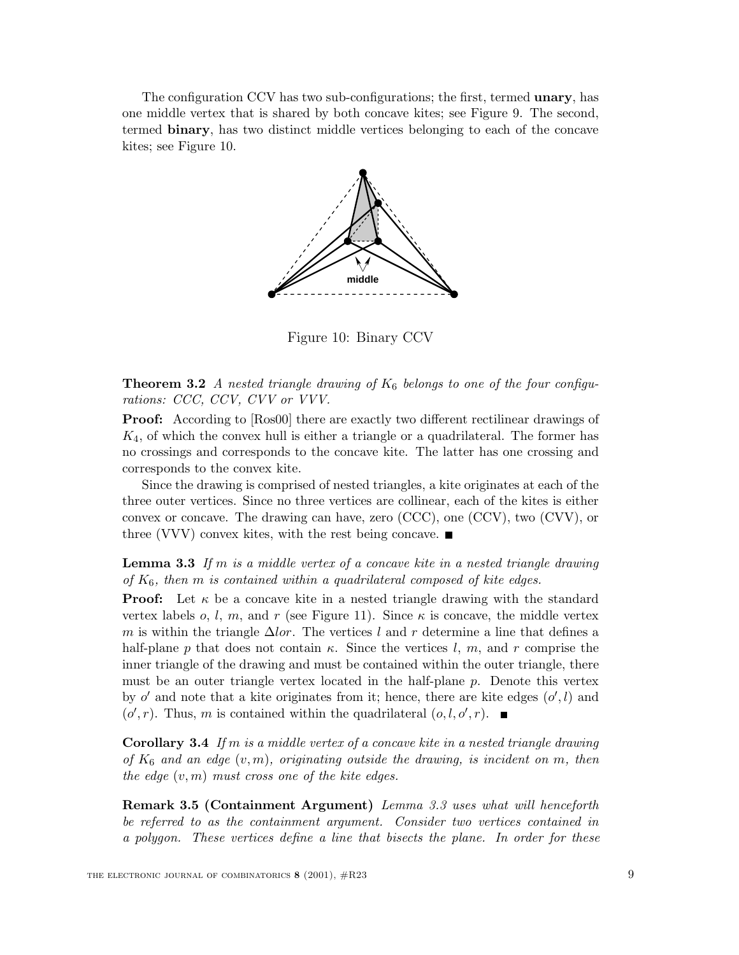The configuration CCV has two sub-configurations; the first, termed **unary**, has one middle vertex that is shared by both concave kites; see Figure 9. The second, termed **binary**, has two distinct middle vertices belonging to each of the concave kites; see Figure 10.



Figure 10: Binary CCV

**Theorem 3.2** *A nested triangle drawing of*  $K_6$  *belongs to one of the four configurations: CCC, CCV, CVV or VVV.*

**Proof:** According to  $[Ros0]$  there are exactly two different rectilinear drawings of  $K_4$ , of which the convex hull is either a triangle or a quadrilateral. The former has no crossings and corresponds to the concave kite. The latter has one crossing and corresponds to the convex kite.

Since the drawing is comprised of nested triangles, a kite originates at each of the three outer vertices. Since no three vertices are collinear, each of the kites is either convex or concave. The drawing can have, zero (CCC), one (CCV), two (CVV), or three (VVV) convex kites, with the rest being concave.  $\blacksquare$ 

**Lemma 3.3** *If* m *is a middle vertex of a concave kite in a nested triangle drawing of*  $K_6$ , then m *is contained within a quadrilateral composed of kite edges.* 

**Proof:** Let  $\kappa$  be a concave kite in a nested triangle drawing with the standard vertex labels o, l, m, and r (see Figure 11). Since  $\kappa$  is concave, the middle vertex m is within the triangle  $\Delta l \text{or}$ . The vertices l and r determine a line that defines a half-plane p that does not contain  $\kappa$ . Since the vertices l, m, and r comprise the inner triangle of the drawing and must be contained within the outer triangle, there must be an outer triangle vertex located in the half-plane  $p$ . Denote this vertex by o' and note that a kite originates from it; hence, there are kite edges  $(o', l)$  and  $(o', r)$ . Thus, m is contained within the quadrilatoral  $(o, l, o', r)$ .  $(o', r)$ . Thus, m is contained within the quadrilateral  $(o, l, o', r)$ .

**Corollary 3.4** *If* m *is a middle vertex of a concave kite in a nested triangle drawing of* <sup>K</sup><sup>6</sup> *and an edge* (v,m)*, originating outside the drawing, is incident on* <sup>m</sup>*, then the edge* (v,m) *must cross one of the kite edges.*

**Remark 3.5 (Containment Argument)** *Lemma 3.3 uses what will henceforth be referred to as the containment argument. Consider two vertices contained in a polygon. These vertices define a line that bisects the plane. In order for these*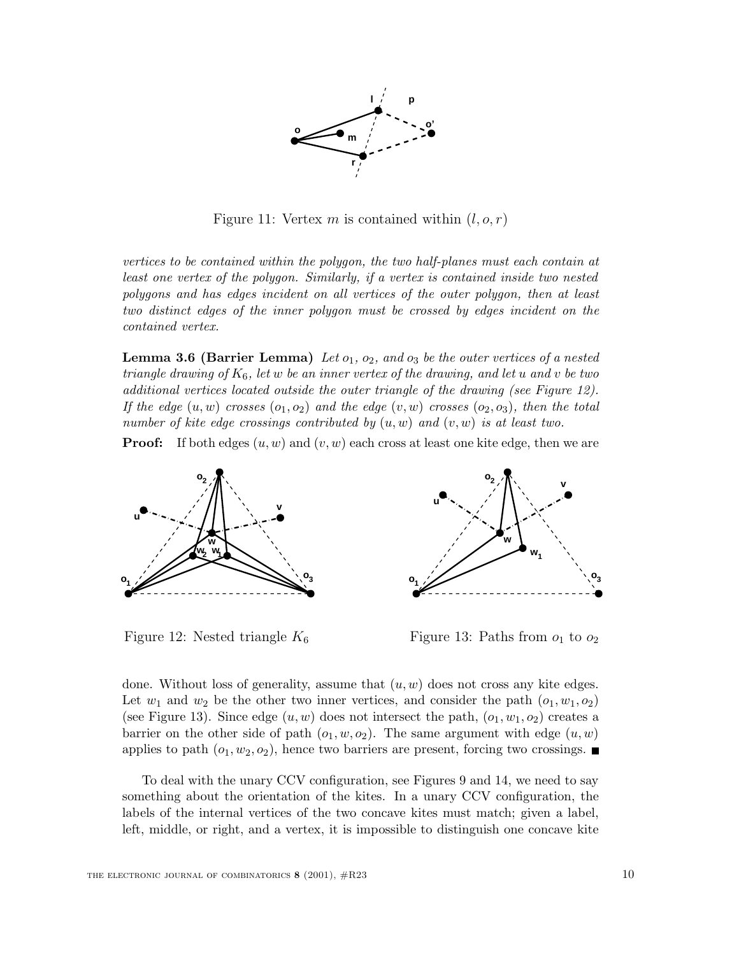

Figure 11: Vertex m is contained within  $(l, o, r)$ 

*vertices to be contained within the polygon, the two half-planes must each contain at least one vertex of the polygon. Similarly, if a vertex is contained inside two nested polygons and has edges incident on all vertices of the outer polygon, then at least two distinct edges of the inner polygon must be crossed by edges incident on the contained vertex.*

**Lemma 3.6 (Barrier Lemma)** Let  $o_1$ ,  $o_2$ , and  $o_3$  be the outer vertices of a nested *triangle drawing of* <sup>K</sup>6*, let* w *be an inner vertex of the drawing, and let* u *and* v *be two additional vertices located outside the outer triangle of the drawing (see Figure 12). If the edge*  $(u, w)$  *crosses*  $(o_1, o_2)$  *and the edge*  $(v, w)$  *crosses*  $(o_2, o_3)$ *, then the total number of kite edge crossings contributed by* (u, w) *and* (v, w) *is at least two.*

**Proof:** If both edges  $(u, w)$  and  $(v, w)$  each cross at least one kite edge, then we are



Figure 12: Nested triangle  $K_6$ 

Figure 13: Paths from  $o_1$  to  $o_2$ 

done. Without loss of generality, assume that  $(u, w)$  does not cross any kite edges. Let  $w_1$  and  $w_2$  be the other two inner vertices, and consider the path  $(o_1, w_1, o_2)$ (see Figure 13). Since edge  $(u, w)$  does not intersect the path,  $(o_1, w_1, o_2)$  creates a barrier on the other side of path  $(o_1, w, o_2)$ . The same argument with edge  $(u, w)$ applies to path  $(o_1, w_2, o_2)$ , hence two barriers are present, forcing two crossings.

To deal with the unary CCV configuration, see Figures 9 and 14, we need to say something about the orientation of the kites. In a unary CCV configuration, the labels of the internal vertices of the two concave kites must match; given a label, left, middle, or right, and a vertex, it is impossible to distinguish one concave kite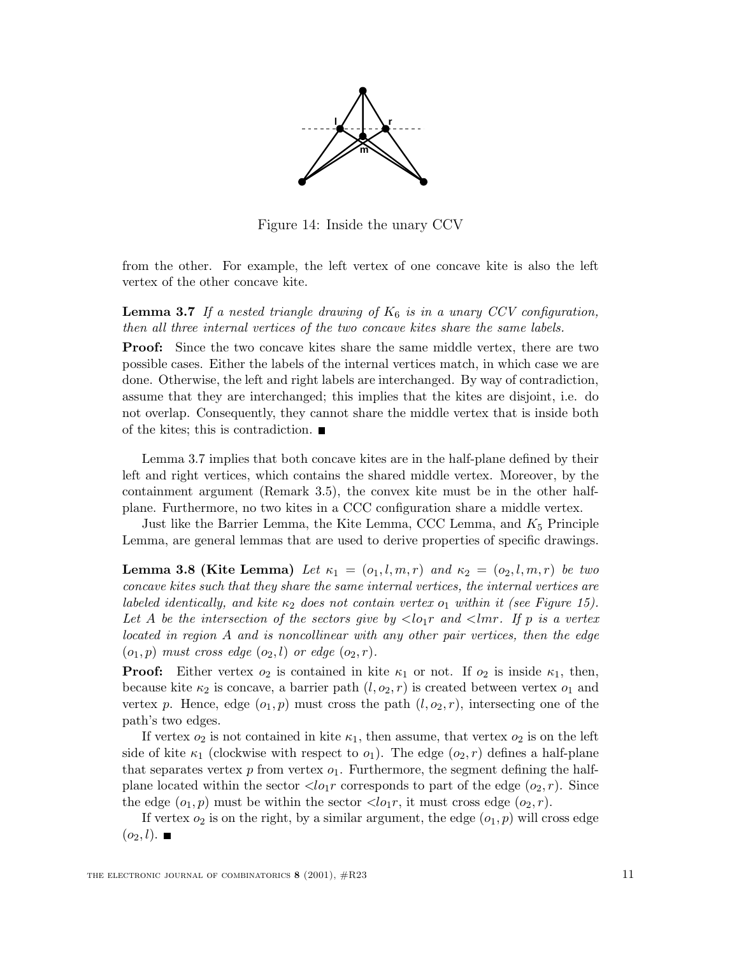

Figure 14: Inside the unary CCV

from the other. For example, the left vertex of one concave kite is also the left vertex of the other concave kite.

**Lemma 3.7** *If a nested triangle drawing of*  $K_6$  *is in a unary CCV configuration, then all three internal vertices of the two concave kites share the same labels.*

**Proof:** Since the two concave kites share the same middle vertex, there are two possible cases. Either the labels of the internal vertices match, in which case we are done. Otherwise, the left and right labels are interchanged. By way of contradiction, assume that they are interchanged; this implies that the kites are disjoint, i.e. do not overlap. Consequently, they cannot share the middle vertex that is inside both of the kites; this is contradiction.  $\blacksquare$ 

Lemma 3.7 implies that both concave kites are in the half-plane defined by their left and right vertices, which contains the shared middle vertex. Moreover, by the containment argument (Remark 3.5), the convex kite must be in the other halfplane. Furthermore, no two kites in a CCC configuration share a middle vertex.

Just like the Barrier Lemma, the Kite Lemma, CCC Lemma, and  $K_5$  Principle Lemma, are general lemmas that are used to derive properties of specific drawings.

**Lemma 3.8 (Kite Lemma)** Let  $\kappa_1 = (o_1, l, m, r)$  and  $\kappa_2 = (o_2, l, m, r)$  be two *concave kites such that they share the same internal vertices, the internal vertices are labeled identically, and kite*  $\kappa_2$  *does not contain vertex*  $o_1$  *within it (see Figure 15).* Let A be the intersection of the sectors give by  $\langle \log n \rangle$  and  $\langle \log n \rangle$  is a vertex *located in region* A *and is noncollinear with any other pair vertices, then the edge*  $(o_1, p)$  *must cross edge*  $(o_2, l)$  *or edge*  $(o_2, r)$ *.* 

**Proof:** Either vertex  $o_2$  is contained in kite  $\kappa_1$  or not. If  $o_2$  is inside  $\kappa_1$ , then, because kite  $\kappa_2$  is concave, a barrier path  $(l, o_2, r)$  is created between vertex  $o_1$  and vertex p. Hence, edge  $(o_1, p)$  must cross the path  $(l, o_2, r)$ , intersecting one of the path's two edges.

If vertex  $o_2$  is not contained in kite  $\kappa_1$ , then assume, that vertex  $o_2$  is on the left side of kite  $\kappa_1$  (clockwise with respect to  $o_1$ ). The edge  $(o_2, r)$  defines a half-plane that separates vertex  $p$  from vertex  $o_1$ . Furthermore, the segment defining the halfplane located within the sector  $\langle \log r \rangle$  corresponds to part of the edge  $(o_2, r)$ . Since the edge  $(o_1, p)$  must be within the sector  $\langle lo_1r \rangle$ , it must cross edge  $(o_2, r)$ .

If vertex  $o_2$  is on the right, by a similar argument, the edge  $(o_1, p)$  will cross edge  $(o_2, l)$ .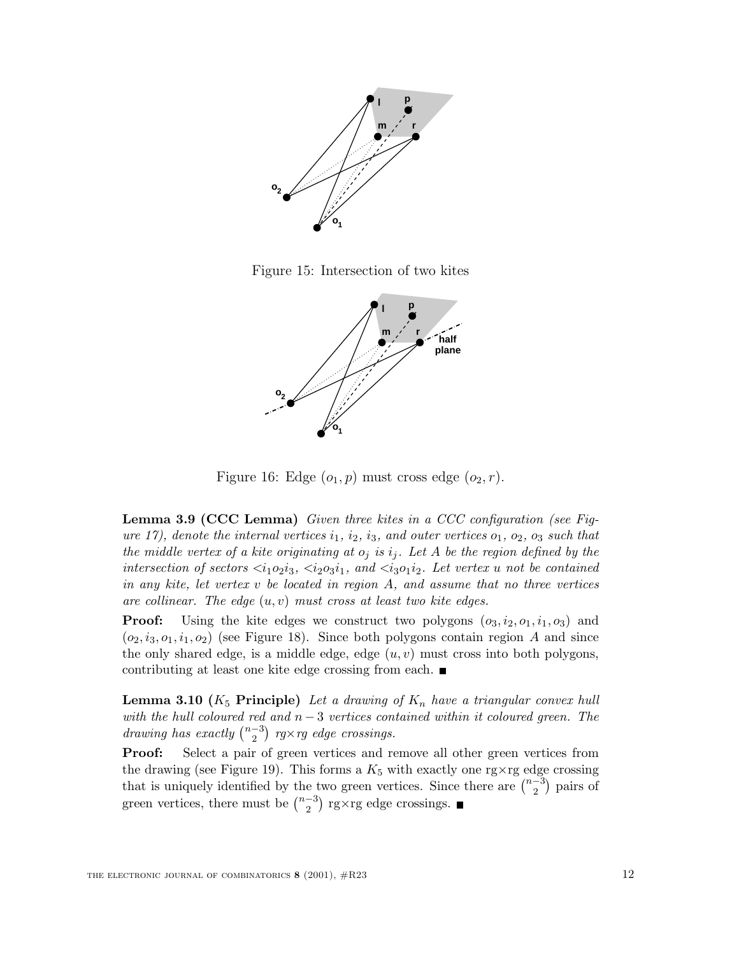

Figure 15: Intersection of two kites



Figure 16: Edge  $(o_1, p)$  must cross edge  $(o_2, r)$ .

**Lemma 3.9 (CCC Lemma)** *Given three kites in a CCC configuration (see Figure 17), denote the internal vertices*  $i_1$ *,*  $i_2$ *,*  $i_3$ *, and outer vertices*  $o_1$ *,*  $o_2$ *,*  $o_3$  *such that the middle vertex of a kite originating at*  $o_j$  *is*  $i_j$ *. Let* A *be the region defined by the intersection of sectors*  $\langle i_1o_2i_3, \langle i_2o_3i_1, \rangle$  and  $\langle i_3o_1i_2 \rangle$ . Let vertex u not be contained *in any kite, let vertex* v *be located in region* A*, and assume that no three vertices are collinear. The edge*  $(u, v)$  *must cross at least two kite edges.*<br>**Proof:** Using the kite edges we construct two polygons  $(a, v)$ 

Using the kite edges we construct two polygons  $(o_3, i_2, o_1, i_1, o_3)$  and  $(o_2, i_3, o_1, i_1, o_2)$  (see Figure 18). Since both polygons contain region A and since the only shared edge, is a middle edge, edge  $(u, v)$  must cross into both polygons, contributing at least one kite edge crossing from each.

**Lemma 3.10 (** $K_5$  **<b>Principle)** *Let a drawing of*  $K_n$  *have a triangular convex hull with the hull coloured red and*  $n − 3$  *vertices contained within it coloured green. The drawing has exactly*  $\binom{n-3}{2}$  *rg*×*rg edge crossings.* 

**Proof:** Select a pair of green vertices and remove all other green vertices from the drawing (see Figure 19). This forms a  $K_5$  with exactly one rg $\times$ rg edge crossing that is uniquely identified by the two green vertices. Since there are  $\binom{n-3}{2}$  pairs of green vertices, there must be  $\binom{n-3}{2}$  rg×rg edge crossings.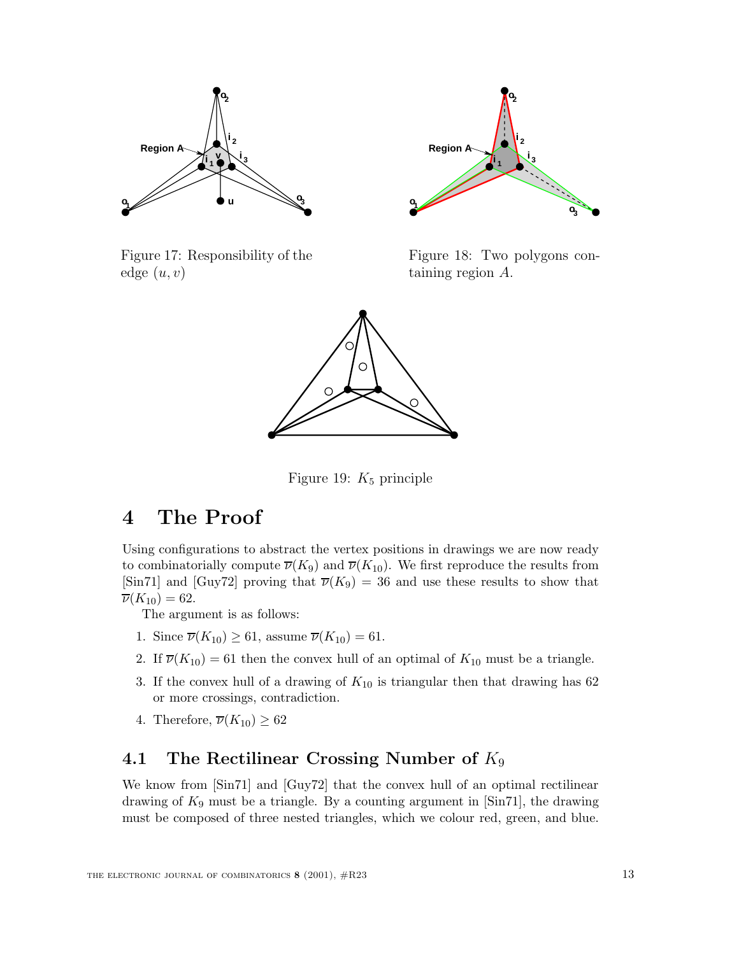

Figure 17: Responsibility of the edge  $(u, v)$ 



Figure 18: Two polygons containing region A.



Figure 19:  $K_5$  principle

# **4 The Proof**

Using configurations to abstract the vertex positions in drawings we are now ready to combinatorially compute  $\overline{\nu}(K_9)$  and  $\overline{\nu}(K_{10})$ . We first reproduce the results from [Sin71] and [Guy72] proving that  $\overline{\nu}(K_9) = 36$  and use these results to show that  $\overline{\nu}(K_{10}) = 62.$ 

The argument is as follows:

- 1. Since  $\overline{\nu}(K_{10}) \geq 61$ , assume  $\overline{\nu}(K_{10}) = 61$ .
- 2. If  $\overline{\nu}(K_{10}) = 61$  then the convex hull of an optimal of  $K_{10}$  must be a triangle.
- 3. If the convex hull of a drawing of  $K_{10}$  is triangular then that drawing has 62 or more crossings, contradiction.
- 4. Therefore,  $\overline{\nu}(K_{10}) \geq 62$

## **4.1 The Rectilinear Crossing Number of** K<sup>9</sup>

We know from [Sin71] and [Guy72] that the convex hull of an optimal rectilinear drawing of  $K_9$  must be a triangle. By a counting argument in [Sin71], the drawing must be composed of three nested triangles, which we colour red, green, and blue.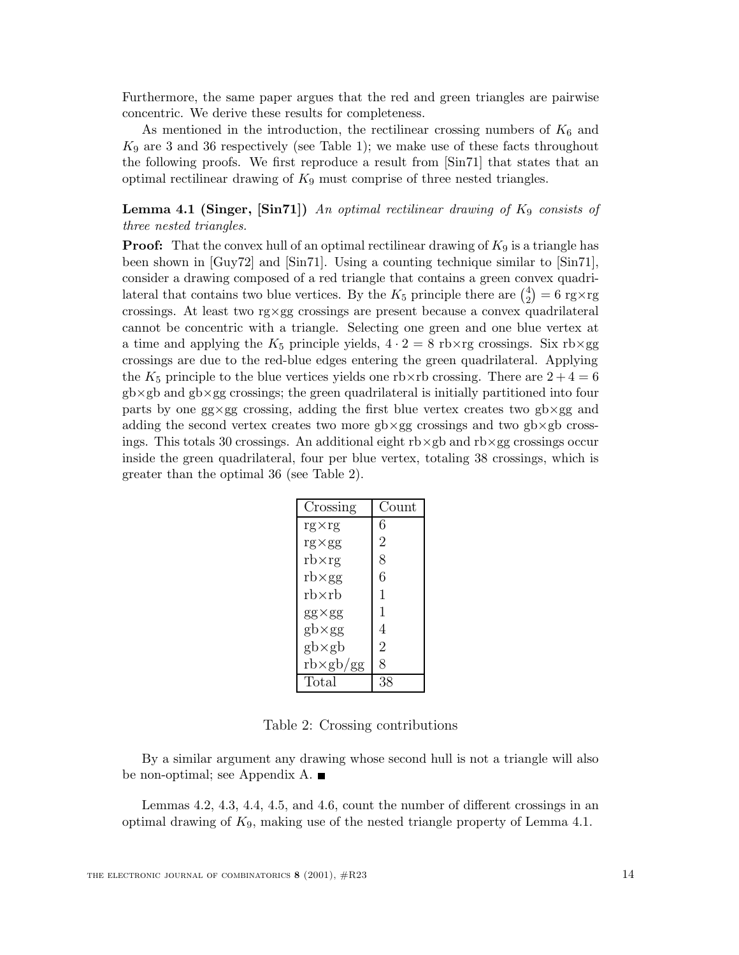Furthermore, the same paper argues that the red and green triangles are pairwise concentric. We derive these results for completeness.

As mentioned in the introduction, the rectilinear crossing numbers of  $K_6$  and  $K_9$  are 3 and 36 respectively (see Table 1); we make use of these facts throughout the following proofs. We first reproduce a result from [Sin71] that states that an optimal rectilinear drawing of  $K_9$  must comprise of three nested triangles.

### **Lemma 4.1 (Singer, [Sin71])** *An optimal rectilinear drawing of*  $K_9$  *consists of three nested triangles.*

**Proof:** That the convex hull of an optimal rectilinear drawing of  $K_9$  is a triangle has been shown in [Guy72] and [Sin71]. Using a counting technique similar to [Sin71], consider a drawing composed of a red triangle that contains a green convex quadrilateral that contains two blue vertices. By the  $K_5$  principle there are  $\binom{4}{2} = 6$  rg×rg<br>crossings. At least two rg×gg crossings are present because a convex quadrilateral crossings. At least two rg×gg crossings are present because a convex quadrilateral cannot be concentric with a triangle. Selecting one green and one blue vertex at a time and applying the  $K_5$  principle yields,  $4 \cdot 2 = 8$  rb×rg crossings. Six rb×gg crossings are due to the red-blue edges entering the green quadrilateral. Applying the  $K_5$  principle to the blue vertices yields one rb×rb crossing. There are  $2+4=6$  $g$ b×gb and  $g$ b×gg crossings; the green quadrilateral is initially partitioned into four parts by one gg×gg crossing, adding the first blue vertex creates two gb×gg and adding the second vertex creates two more  $gb \times gg$  crossings and two  $gb \times gb$  crossings. This totals 30 crossings. An additional eight  $rb \times gb$  and  $rb \times gg$  crossings occur inside the green quadrilateral, four per blue vertex, totaling 38 crossings, which is greater than the optimal 36 (see Table 2).

| Crossing                               | Count          |
|----------------------------------------|----------------|
| $rg\times rg$                          | 6              |
| $rg \times gg$                         | $\overline{2}$ |
| $rb \times rg$                         | 8              |
| $rb \times gg$                         | 6              |
| rb×rb                                  | $\mathbf{1}$   |
| $gg \times gg$                         | 1              |
| $gb \times gg$                         | 4              |
| $gb \times gb$                         | $\overline{2}$ |
| $\text{rb} \times \text{gb}/\text{gg}$ | 8              |
| Total                                  | 38             |

Table 2: Crossing contributions

By a similar argument any drawing whose second hull is not a triangle will also be non-optimal; see Appendix A.

Lemmas 4.2, 4.3, 4.4, 4.5, and 4.6, count the number of different crossings in an optimal drawing of  $K_9$ , making use of the nested triangle property of Lemma 4.1.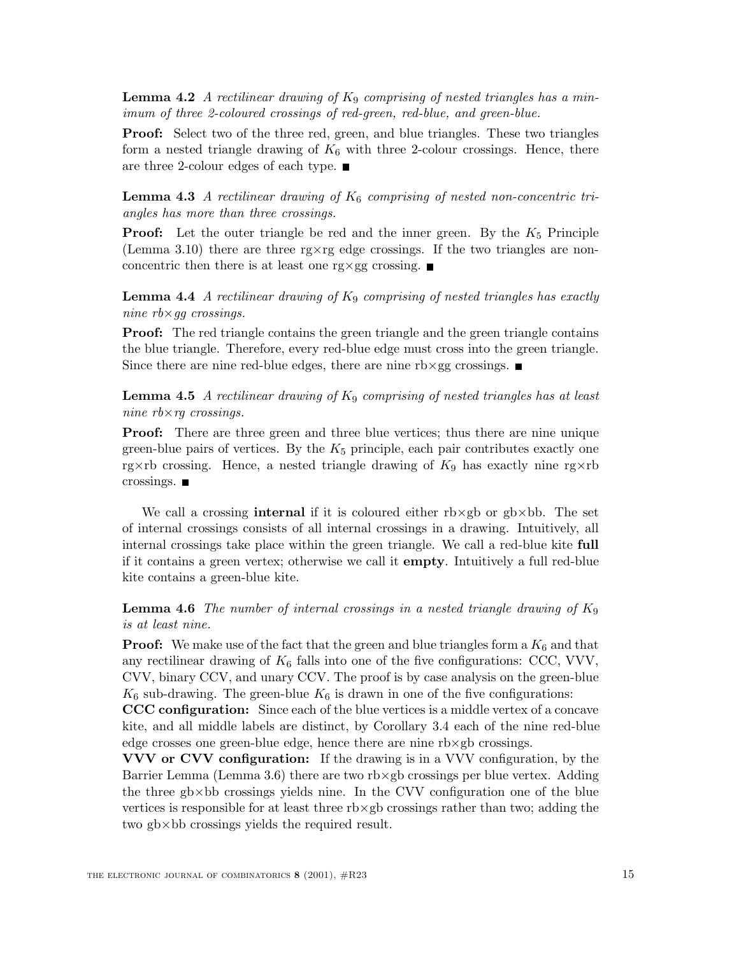**Lemma 4.2** *A rectilinear drawing of*  $K_9$  *comprising of nested triangles has a minimum of three 2-coloured crossings of red-green, red-blue, and green-blue.*

**Proof:** Select two of the three red, green, and blue triangles. These two triangles form a nested triangle drawing of  $K_6$  with three 2-colour crossings. Hence, there are three 2-colour edges of each type.

**Lemma 4.3** *A rectilinear drawing of*  $K_6$  *comprising of nested non-concentric triangles has more than three crossings.*

**Proof:** Let the outer triangle be red and the inner green. By the  $K_5$  Principle (Lemma 3.10) there are three rg $\times$ rg edge crossings. If the two triangles are nonconcentric then there is at least one rg $\times$ gg crossing.

**Lemma 4.4** *A rectilinear drawing of*  $K_9$  *comprising of nested triangles has exactly nine rb*×*gg crossings.*

**Proof:** The red triangle contains the green triangle and the green triangle contains the blue triangle. Therefore, every red-blue edge must cross into the green triangle. Since there are nine red-blue edges, there are nine  $rb \times gg$  crossings.

**Lemma 4.5** *A rectilinear drawing of* <sup>K</sup><sup>9</sup> *comprising of nested triangles has at least nine rb*×*rg crossings.*

**Proof:** There are three green and three blue vertices; thus there are nine unique green-blue pairs of vertices. By the  $K_5$  principle, each pair contributes exactly one rg×rb crossing. Hence, a nested triangle drawing of  $K_9$  has exactly nine rg×rb crossings.

We call a crossing **internal** if it is coloured either rb×gb or gb×bb. The set of internal crossings consists of all internal crossings in a drawing. Intuitively, all internal crossings take place within the green triangle. We call a red-blue kite **full** if it contains a green vertex; otherwise we call it **empty**. Intuitively a full red-blue kite contains a green-blue kite.

**Lemma 4.6** *The number of internal crossings in a nested triangle drawing of* <sup>K</sup><sup>9</sup> *is at least nine.*

**Proof:** We make use of the fact that the green and blue triangles form a  $K_6$  and that any rectilinear drawing of  $K_6$  falls into one of the five configurations: CCC, VVV, CVV, binary CCV, and unary CCV. The proof is by case analysis on the green-blue  $K_6$  sub-drawing. The green-blue  $K_6$  is drawn in one of the five configurations:

**CCC configuration:** Since each of the blue vertices is a middle vertex of a concave kite, and all middle labels are distinct, by Corollary 3.4 each of the nine red-blue edge crosses one green-blue edge, hence there are nine rb×gb crossings.

**VVV or CVV configuration:** If the drawing is in a VVV configuration, by the Barrier Lemma (Lemma 3.6) there are two rb $\times$ gb crossings per blue vertex. Adding the three  $g$ b $\times$ bb crossings yields nine. In the CVV configuration one of the blue vertices is responsible for at least three rb×gb crossings rather than two; adding the two gb×bb crossings yields the required result.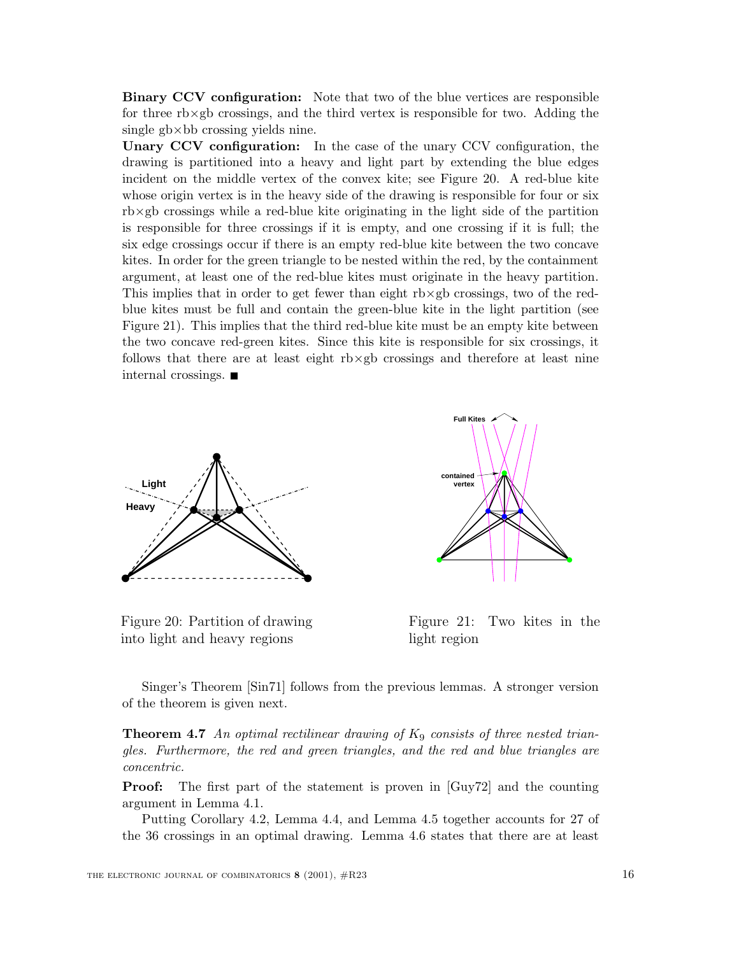**Binary CCV configuration:** Note that two of the blue vertices are responsible for three  $r\bar{b}\times g\bar{b}$  crossings, and the third vertex is responsible for two. Adding the single gb×bb crossing yields nine.

**Unary CCV configuration:** In the case of the unary CCV configuration, the drawing is partitioned into a heavy and light part by extending the blue edges incident on the middle vertex of the convex kite; see Figure 20. A red-blue kite whose origin vertex is in the heavy side of the drawing is responsible for four or six rb×gb crossings while a red-blue kite originating in the light side of the partition is responsible for three crossings if it is empty, and one crossing if it is full; the six edge crossings occur if there is an empty red-blue kite between the two concave kites. In order for the green triangle to be nested within the red, by the containment argument, at least one of the red-blue kites must originate in the heavy partition. This implies that in order to get fewer than eight rb×gb crossings, two of the redblue kites must be full and contain the green-blue kite in the light partition (see Figure 21). This implies that the third red-blue kite must be an empty kite between the two concave red-green kites. Since this kite is responsible for six crossings, it follows that there are at least eight rb×gb crossings and therefore at least nine internal crossings.



Figure 20: Partition of drawing into light and heavy regions



Figure 21: Two kites in the light region

Singer's Theorem [Sin71] follows from the previous lemmas. A stronger version of the theorem is given next.

**Theorem 4.7** An optimal rectilinear drawing of  $K_9$  consists of three nested trian*gles. Furthermore, the red and green triangles, and the red and blue triangles are concentric.*

**Proof:** The first part of the statement is proven in [Guy72] and the counting argument in Lemma 4.1.

Putting Corollary 4.2, Lemma 4.4, and Lemma 4.5 together accounts for 27 of the 36 crossings in an optimal drawing. Lemma 4.6 states that there are at least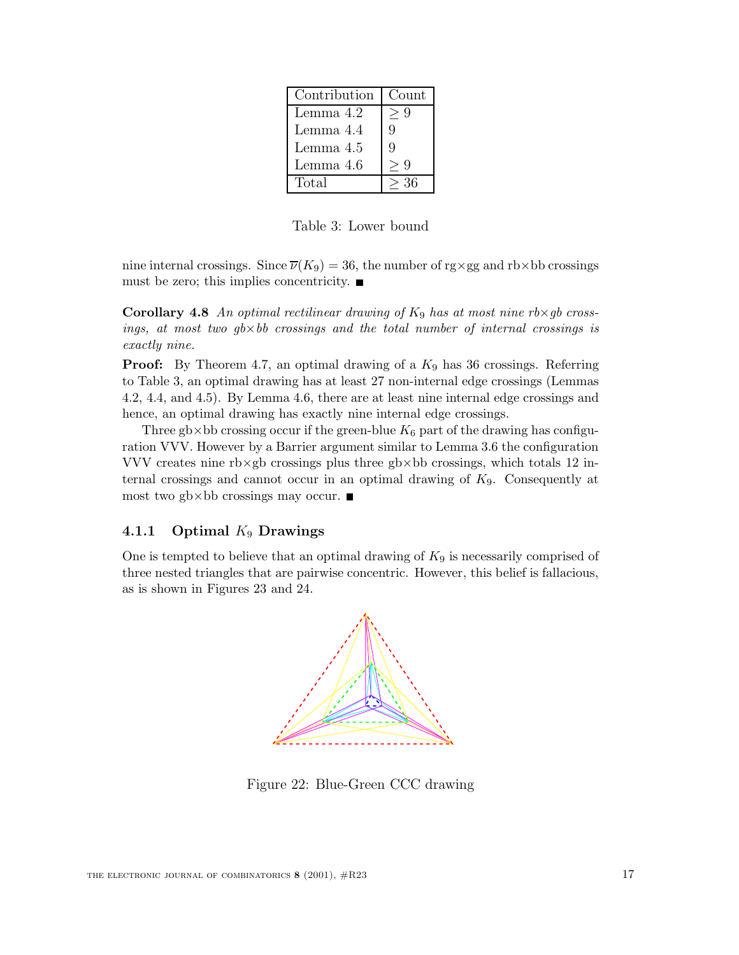| Contribution | Count |
|--------------|-------|
| Lemma 4.2    | Q     |
| Lemma 4.4    | 9     |
| Lemma 4.5    | 9     |
| Lemma 4.6    | Q     |
| Total        | 36    |

Table 3: Lower bound

nine internal crossings. Since  $\overline{\nu}(K_9) = 36$ , the number of rg×gg and rb×bb crossings must be zero; this implies concentricity.  $\blacksquare$ 

**Corollary 4.8** An optimal rectilinear drawing of  $K_9$  has at most nine rb×*gb* cross*ings, at most two gb*×*bb crossings and the total number of internal crossings is exactly nine.*

**Proof:** By Theorem 4.7, an optimal drawing of a  $K_9$  has 36 crossings. Referring to Table 3, an optimal drawing has at least 27 non-internal edge crossings (Lemmas 4.2, 4.4, and 4.5). By Lemma 4.6, there are at least nine internal edge crossings and hence, an optimal drawing has exactly nine internal edge crossings.

Three gb×bb crossing occur if the green-blue  $K_6$  part of the drawing has configuration VVV. However by a Barrier argument similar to Lemma 3.6 the configuration VVV creates nine rb×gb crossings plus three gb×bb crossings, which totals 12 internal crossings and cannot occur in an optimal drawing of  $K<sub>9</sub>$ . Consequently at most two gb $\times$ bb crossings may occur.

### **4.1.1 Optimal** K<sup>9</sup> **Drawings**

One is tempted to believe that an optimal drawing of  $K_9$  is necessarily comprised of three nested triangles that are pairwise concentric. However, this belief is fallacious, as is shown in Figures 23 and 24.



Figure 22: Blue-Green CCC drawing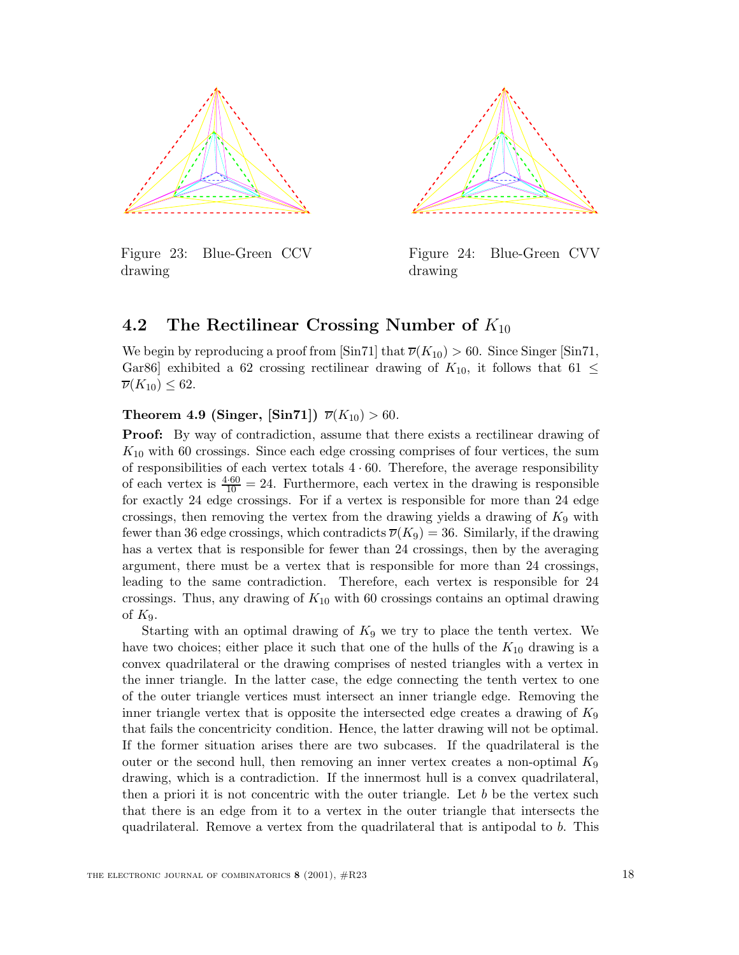

Figure 23: Blue-Green CCV drawing



Figure 24: Blue-Green CVV drawing

## **4.2** The Rectilinear Crossing Number of  $K_{10}$

We begin by reproducing a proof from [Sin71] that  $\overline{\nu}(K_{10}) > 60$ . Since Singer [Sin71, Gar86] exhibited a 62 crossing rectilinear drawing of  $K_{10}$ , it follows that 61  $\leq$  $\overline{\nu}(K_{10}) \leq 62.$ 

### **Theorem 4.9 (Singer, [Sin71])**  $\overline{\nu}(K_{10}) > 60$ .

**Proof:** By way of contradiction, assume that there exists a rectilinear drawing of  $K_{10}$  with 60 crossings. Since each edge crossing comprises of four vertices, the sum of responsibilities of each vertex totals  $4 \cdot 60$ . Therefore, the average responsibility of each vertex is  $\frac{4\cdot 60}{10} = 24$ . Furthermore, each vertex in the drawing is responsible for exactly 24 edge crossings. For if a vertex is responsible for more than 24 edge crossings, then removing the vertex from the drawing yields a drawing of  $K_9$  with fewer than 36 edge crossings, which contradicts  $\overline{\nu}(K_9) = 36$ . Similarly, if the drawing has a vertex that is responsible for fewer than 24 crossings, then by the averaging argument, there must be a vertex that is responsible for more than 24 crossings, leading to the same contradiction. Therefore, each vertex is responsible for 24 crossings. Thus, any drawing of  $K_{10}$  with 60 crossings contains an optimal drawing of  $K_9$ .

Starting with an optimal drawing of  $K_9$  we try to place the tenth vertex. We have two choices; either place it such that one of the hulls of the  $K_{10}$  drawing is a convex quadrilateral or the drawing comprises of nested triangles with a vertex in the inner triangle. In the latter case, the edge connecting the tenth vertex to one of the outer triangle vertices must intersect an inner triangle edge. Removing the inner triangle vertex that is opposite the intersected edge creates a drawing of  $K_9$ that fails the concentricity condition. Hence, the latter drawing will not be optimal. If the former situation arises there are two subcases. If the quadrilateral is the outer or the second hull, then removing an inner vertex creates a non-optimal  $K_9$ drawing, which is a contradiction. If the innermost hull is a convex quadrilateral, then a priori it is not concentric with the outer triangle. Let  $b$  be the vertex such that there is an edge from it to a vertex in the outer triangle that intersects the quadrilateral. Remove a vertex from the quadrilateral that is antipodal to b. This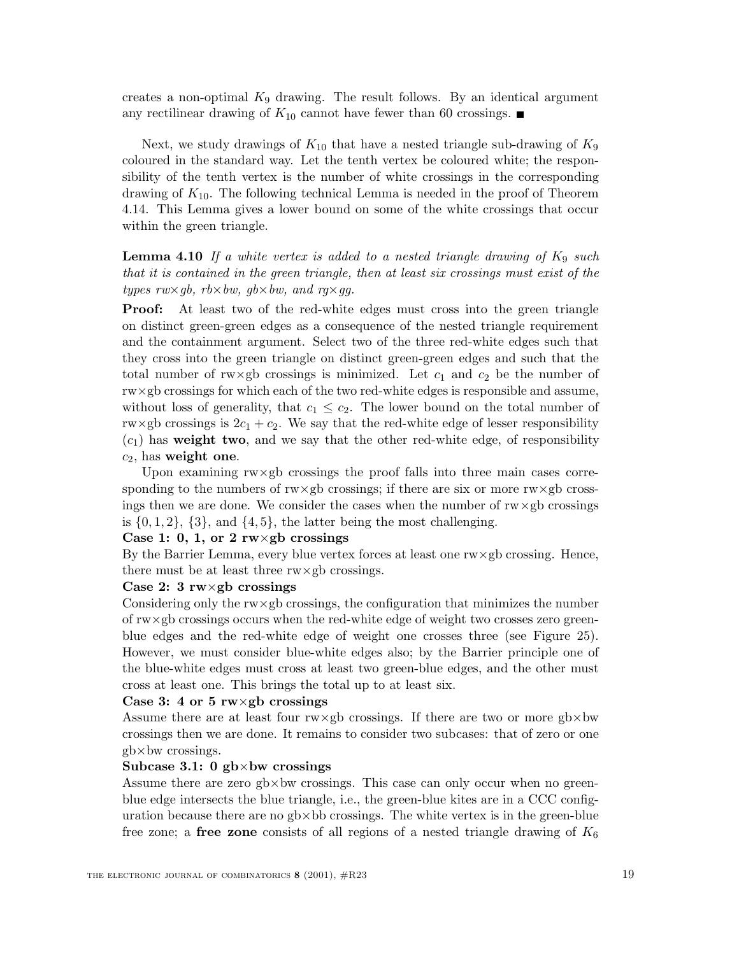creates a non-optimal  $K_9$  drawing. The result follows. By an identical argument any rectilinear drawing of  $K_{10}$  cannot have fewer than 60 crossings.

Next, we study drawings of  $K_{10}$  that have a nested triangle sub-drawing of  $K_9$ coloured in the standard way. Let the tenth vertex be coloured white; the responsibility of the tenth vertex is the number of white crossings in the corresponding drawing of  $K_{10}$ . The following technical Lemma is needed in the proof of Theorem 4.14. This Lemma gives a lower bound on some of the white crossings that occur within the green triangle.

**Lemma 4.10** If a white vertex is added to a nested triangle drawing of  $K_9$  such *that it is contained in the green triangle, then at least six crossings must exist of the types rw*×*gb, rb*×*bw, gb*×*bw, and rg*×*gg.*

**Proof:** At least two of the red-white edges must cross into the green triangle on distinct green-green edges as a consequence of the nested triangle requirement and the containment argument. Select two of the three red-white edges such that they cross into the green triangle on distinct green-green edges and such that the total number of rw×gb crossings is minimized. Let  $c_1$  and  $c_2$  be the number of rw×gb crossings for which each of the two red-white edges is responsible and assume, without loss of generality, that  $c_1 \leq c_2$ . The lower bound on the total number of rw×gb crossings is  $2c_1 + c_2$ . We say that the red-white edge of lesser responsibility  $(c_1)$  has **weight two**, and we say that the other red-white edge, of responsibility <sup>c</sup>2, has **weight one**.

Upon examining  $rw \times gb$  crossings the proof falls into three main cases corresponding to the numbers of  $rw \times gb$  crossings; if there are six or more  $rw \times gb$  crossings then we are done. We consider the cases when the number of  $rw \times gb$  crossings is  $\{0, 1, 2\}$ ,  $\{3\}$ , and  $\{4, 5\}$ , the latter being the most challenging.

### **Case 1: 0, 1, or 2 rw**×**gb crossings**

By the Barrier Lemma, every blue vertex forces at least one rw×gb crossing. Hence, there must be at least three rw×gb crossings.

### **Case 2: 3 rw**×**gb crossings**

Considering only the rw×gb crossings, the configuration that minimizes the number of  $\text{rw} \times \text{gb}$  crossings occurs when the red-white edge of weight two crosses zero greenblue edges and the red-white edge of weight one crosses three (see Figure 25). However, we must consider blue-white edges also; by the Barrier principle one of the blue-white edges must cross at least two green-blue edges, and the other must cross at least one. This brings the total up to at least six.

#### **Case 3: 4 or 5 rw**×**gb crossings**

Assume there are at least four  $rw \times gb$  crossings. If there are two or more  $gb \times bw$ crossings then we are done. It remains to consider two subcases: that of zero or one gb×bw crossings.

#### **Subcase 3.1: 0 gb**×**bw crossings**

Assume there are zero  $g$ b $\times$ bw crossings. This case can only occur when no greenblue edge intersects the blue triangle, i.e., the green-blue kites are in a CCC configuration because there are no  $gb \times bb$  crossings. The white vertex is in the green-blue free zone; a **free zone** consists of all regions of a nested triangle drawing of  $K_6$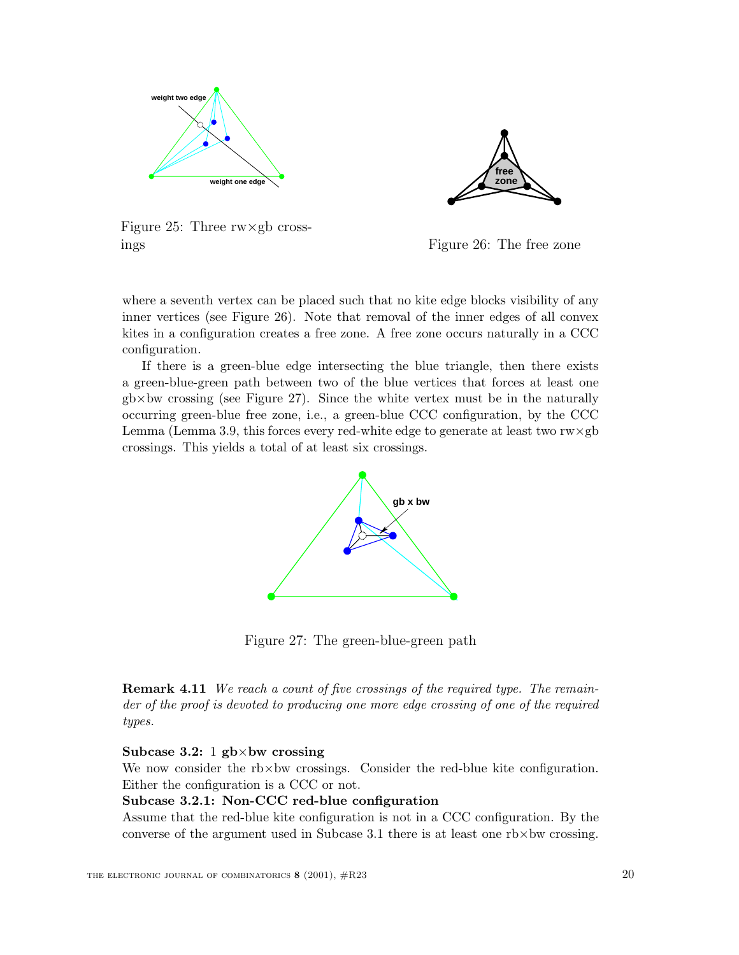



Figure 25: Three  $rw \times gb$  crossings

Figure 26: The free zone

where a seventh vertex can be placed such that no kite edge blocks visibility of any inner vertices (see Figure 26). Note that removal of the inner edges of all convex kites in a configuration creates a free zone. A free zone occurs naturally in a CCC configuration.

If there is a green-blue edge intersecting the blue triangle, then there exists a green-blue-green path between two of the blue vertices that forces at least one  $g$ b×bw crossing (see Figure 27). Since the white vertex must be in the naturally occurring green-blue free zone, i.e., a green-blue CCC configuration, by the CCC Lemma (Lemma 3.9, this forces every red-white edge to generate at least two  $rw \times gb$ crossings. This yields a total of at least six crossings.



Figure 27: The green-blue-green path

**Remark 4.11** *We reach a count of five crossings of the required type. The remainder of the proof is devoted to producing one more edge crossing of one of the required types.*

### **Subcase 3.2:** 1 **gb**×**bw crossing**

We now consider the rb×bw crossings. Consider the red-blue kite configuration. Either the configuration is a CCC or not.

### **Subcase 3.2.1: Non-CCC red-blue configuration**

Assume that the red-blue kite configuration is not in a CCC configuration. By the converse of the argument used in Subcase 3.1 there is at least one  $rb \times bw$  crossing.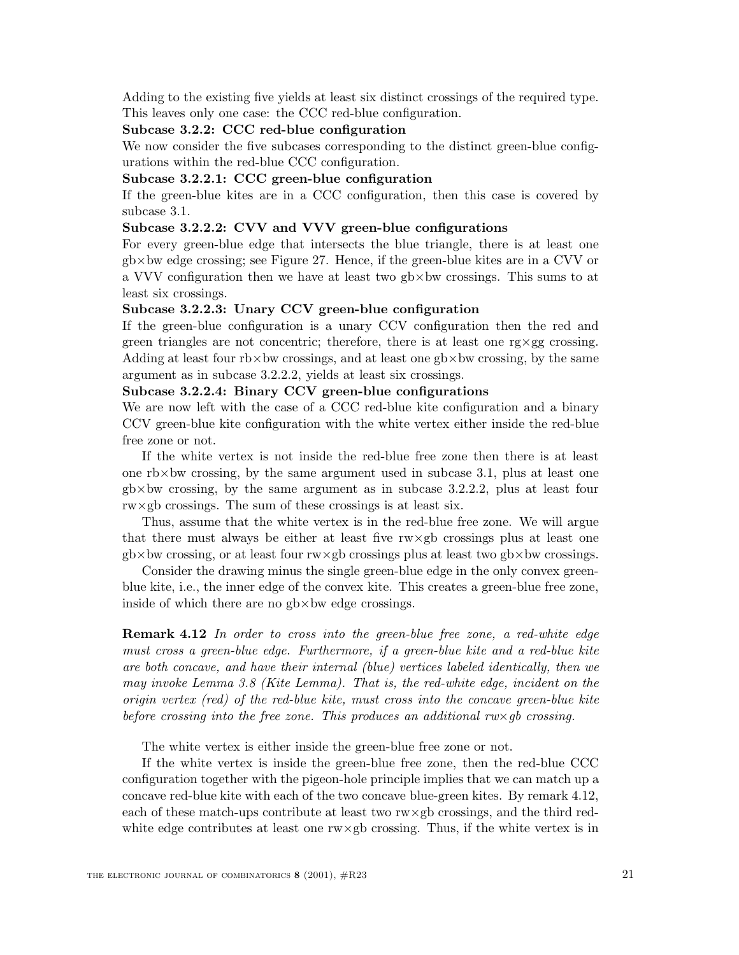Adding to the existing five yields at least six distinct crossings of the required type. This leaves only one case: the CCC red-blue configuration.

#### **Subcase 3.2.2: CCC red-blue configuration**

We now consider the five subcases corresponding to the distinct green-blue configurations within the red-blue CCC configuration.

### **Subcase 3.2.2.1: CCC green-blue configuration**

If the green-blue kites are in a CCC configuration, then this case is covered by subcase 3.1.

### **Subcase 3.2.2.2: CVV and VVV green-blue configurations**

For every green-blue edge that intersects the blue triangle, there is at least one  $g$ b×bw edge crossing; see Figure 27. Hence, if the green-blue kites are in a CVV or a VVV configuration then we have at least two  $gb \times bw$  crossings. This sums to at least six crossings.

#### **Subcase 3.2.2.3: Unary CCV green-blue configuration**

If the green-blue configuration is a unary CCV configuration then the red and green triangles are not concentric; therefore, there is at least one  $\gamma \propto \gamma$  crossing. Adding at least four  $rb \times bw$  crossings, and at least one  $gb \times bw$  crossing, by the same argument as in subcase 3.2.2.2, yields at least six crossings.

### **Subcase 3.2.2.4: Binary CCV green-blue configurations**

We are now left with the case of a CCC red-blue kite configuration and a binary CCV green-blue kite configuration with the white vertex either inside the red-blue free zone or not.

If the white vertex is not inside the red-blue free zone then there is at least one  $r$ b $\times$ bw crossing, by the same argument used in subcase 3.1, plus at least one  $g$ b $\times$ bw crossing, by the same argument as in subcase 3.2.2.2, plus at least four rw×gb crossings. The sum of these crossings is at least six.

Thus, assume that the white vertex is in the red-blue free zone. We will argue that there must always be either at least five rw×gb crossings plus at least one  $gb \times bw$  crossing, or at least four rw $\times gb$  crossings plus at least two  $gb \times bw$  crossings.

Consider the drawing minus the single green-blue edge in the only convex greenblue kite, i.e., the inner edge of the convex kite. This creates a green-blue free zone, inside of which there are no gb×bw edge crossings.

**Remark 4.12** *In order to cross into the green-blue free zone, a red-white edge must cross a green-blue edge. Furthermore, if a green-blue kite and a red-blue kite are both concave, and have their internal (blue) vertices labeled identically, then we may invoke Lemma 3.8 (Kite Lemma). That is, the red-white edge, incident on the origin vertex (red) of the red-blue kite, must cross into the concave green-blue kite before crossing into the free zone. This produces an additional rw×* $q$ *b crossing.* 

The white vertex is either inside the green-blue free zone or not.

If the white vertex is inside the green-blue free zone, then the red-blue CCC configuration together with the pigeon-hole principle implies that we can match up a concave red-blue kite with each of the two concave blue-green kites. By remark 4.12, each of these match-ups contribute at least two rw×gb crossings, and the third redwhite edge contributes at least one  $rw \times gb$  crossing. Thus, if the white vertex is in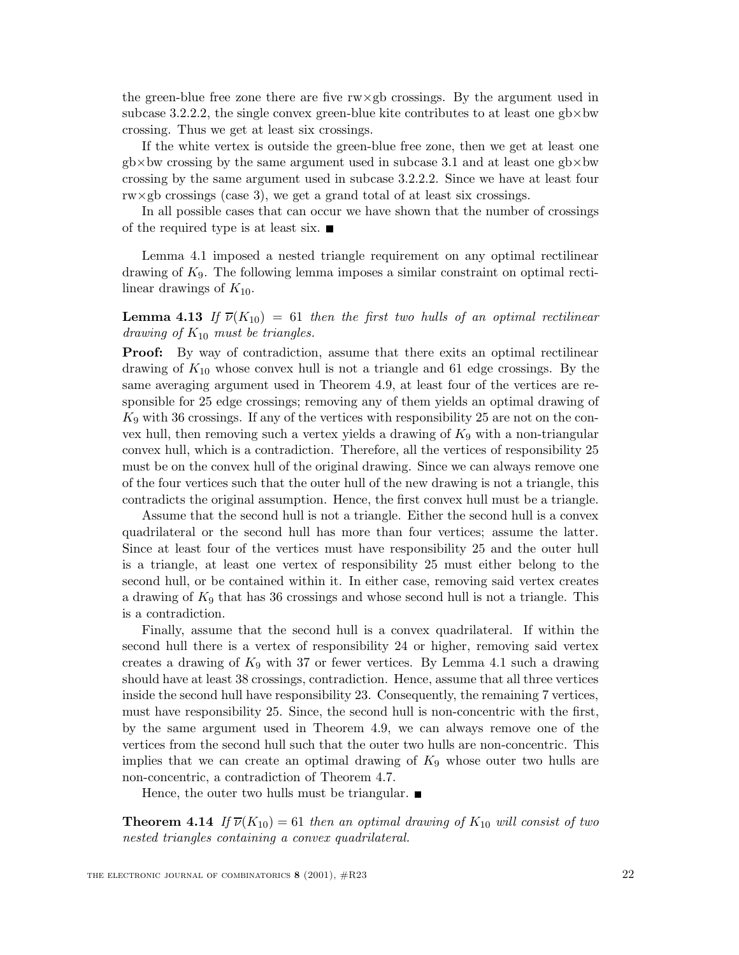the green-blue free zone there are five  $rw \times gb$  crossings. By the argument used in subcase 3.2.2.2, the single convex green-blue kite contributes to at least one  $gb \times bw$ crossing. Thus we get at least six crossings.

If the white vertex is outside the green-blue free zone, then we get at least one  $gb \times bw$  crossing by the same argument used in subcase 3.1 and at least one  $gb \times bw$ crossing by the same argument used in subcase 3.2.2.2. Since we have at least four  $\text{rw} \times \text{gb}$  crossings (case 3), we get a grand total of at least six crossings.

In all possible cases that can occur we have shown that the number of crossings of the required type is at least six.  $\blacksquare$ 

Lemma 4.1 imposed a nested triangle requirement on any optimal rectilinear drawing of K9. The following lemma imposes a similar constraint on optimal rectilinear drawings of  $K_{10}$ .

**Lemma 4.13** *If*  $\overline{\nu}(K_{10}) = 61$  *then the first two hulls of an optimal rectilinear drawing of* <sup>K</sup><sup>10</sup> *must be triangles.*

**Proof:** By way of contradiction, assume that there exits an optimal rectilinear drawing of  $K_{10}$  whose convex hull is not a triangle and 61 edge crossings. By the same averaging argument used in Theorem 4.9, at least four of the vertices are responsible for 25 edge crossings; removing any of them yields an optimal drawing of  $K_9$  with 36 crossings. If any of the vertices with responsibility 25 are not on the convex hull, then removing such a vertex yields a drawing of  $K_9$  with a non-triangular convex hull, which is a contradiction. Therefore, all the vertices of responsibility 25 must be on the convex hull of the original drawing. Since we can always remove one of the four vertices such that the outer hull of the new drawing is not a triangle, this contradicts the original assumption. Hence, the first convex hull must be a triangle.

Assume that the second hull is not a triangle. Either the second hull is a convex quadrilateral or the second hull has more than four vertices; assume the latter. Since at least four of the vertices must have responsibility 25 and the outer hull is a triangle, at least one vertex of responsibility 25 must either belong to the second hull, or be contained within it. In either case, removing said vertex creates a drawing of  $K_9$  that has 36 crossings and whose second hull is not a triangle. This is a contradiction.

Finally, assume that the second hull is a convex quadrilateral. If within the second hull there is a vertex of responsibility 24 or higher, removing said vertex creates a drawing of  $K_9$  with 37 or fewer vertices. By Lemma 4.1 such a drawing should have at least 38 crossings, contradiction. Hence, assume that all three vertices inside the second hull have responsibility 23. Consequently, the remaining 7 vertices, must have responsibility 25. Since, the second hull is non-concentric with the first, by the same argument used in Theorem 4.9, we can always remove one of the vertices from the second hull such that the outer two hulls are non-concentric. This implies that we can create an optimal drawing of  $K_9$  whose outer two hulls are non-concentric, a contradiction of Theorem 4.7.

Hence, the outer two hulls must be triangular.  $\blacksquare$ 

**Theorem 4.14** *If*  $\overline{\nu}(K_{10}) = 61$  *then an optimal drawing of*  $K_{10}$  *will consist of two nested triangles containing a convex quadrilateral.*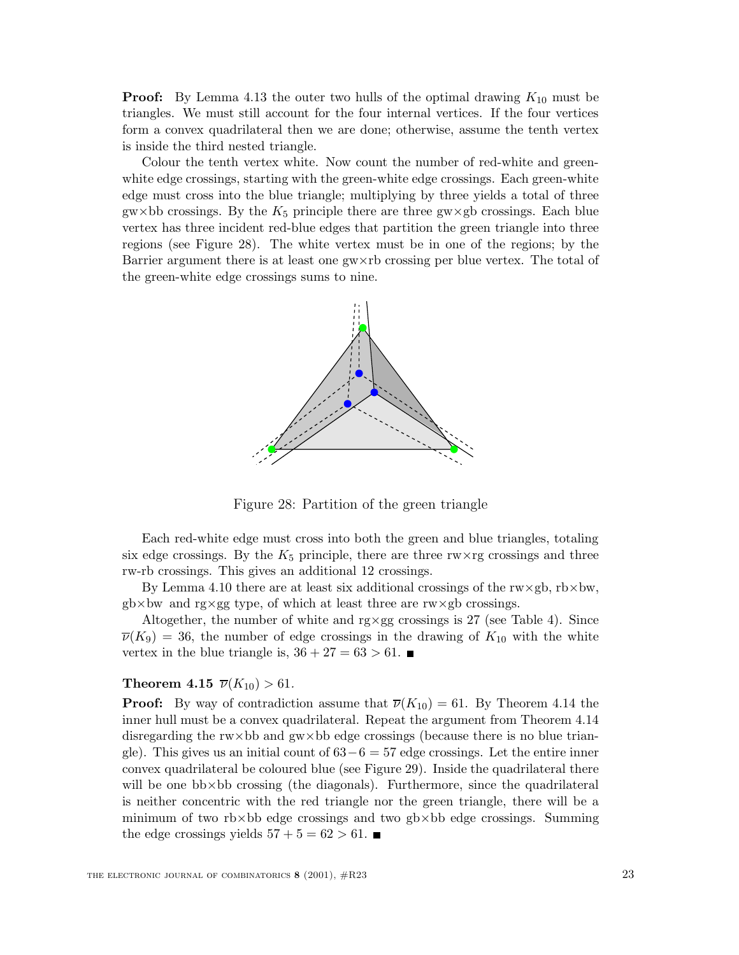**Proof:** By Lemma 4.13 the outer two hulls of the optimal drawing  $K_{10}$  must be triangles. We must still account for the four internal vertices. If the four vertices form a convex quadrilateral then we are done; otherwise, assume the tenth vertex is inside the third nested triangle.

Colour the tenth vertex white. Now count the number of red-white and greenwhite edge crossings, starting with the green-white edge crossings. Each green-white edge must cross into the blue triangle; multiplying by three yields a total of three gw×bb crossings. By the  $K_5$  principle there are three gw×gb crossings. Each blue vertex has three incident red-blue edges that partition the green triangle into three regions (see Figure 28). The white vertex must be in one of the regions; by the Barrier argument there is at least one gw×rb crossing per blue vertex. The total of the green-white edge crossings sums to nine.



Figure 28: Partition of the green triangle

Each red-white edge must cross into both the green and blue triangles, totaling six edge crossings. By the  $K_5$  principle, there are three rw $\times$ rg crossings and three rw-rb crossings. This gives an additional 12 crossings.

By Lemma 4.10 there are at least six additional crossings of the  $\text{rw} \times \text{gb}$ ,  $\text{rb} \times \text{bw}$ ,  $gb \times bw$  and rg $\times gg$  type, of which at least three are rw $\times gb$  crossings.

Altogether, the number of white and  $\gamma \times gg$  crossings is 27 (see Table 4). Since  $\overline{\nu}(K_9) = 36$ , the number of edge crossings in the drawing of  $K_{10}$  with the white vertex in the blue triangle is,  $36 + 27 = 63 > 61$ .

#### **Theorem 4.15**  $\overline{\nu}(K_{10}) > 61$ .

**Proof:** By way of contradiction assume that  $\overline{\nu}(K_{10}) = 61$ . By Theorem 4.14 the inner hull must be a convex quadrilateral. Repeat the argument from Theorem 4.14 disregarding the rw×bb and gw×bb edge crossings (because there is no blue triangle). This gives us an initial count of  $63-6=57$  edge crossings. Let the entire inner convex quadrilateral be coloured blue (see Figure 29). Inside the quadrilateral there will be one bb×bb crossing (the diagonals). Furthermore, since the quadrilateral is neither concentric with the red triangle nor the green triangle, there will be a minimum of two rb $\times$ bb edge crossings and two gb $\times$ bb edge crossings. Summing the edge crossings yields  $57 + 5 = 62 > 61$ .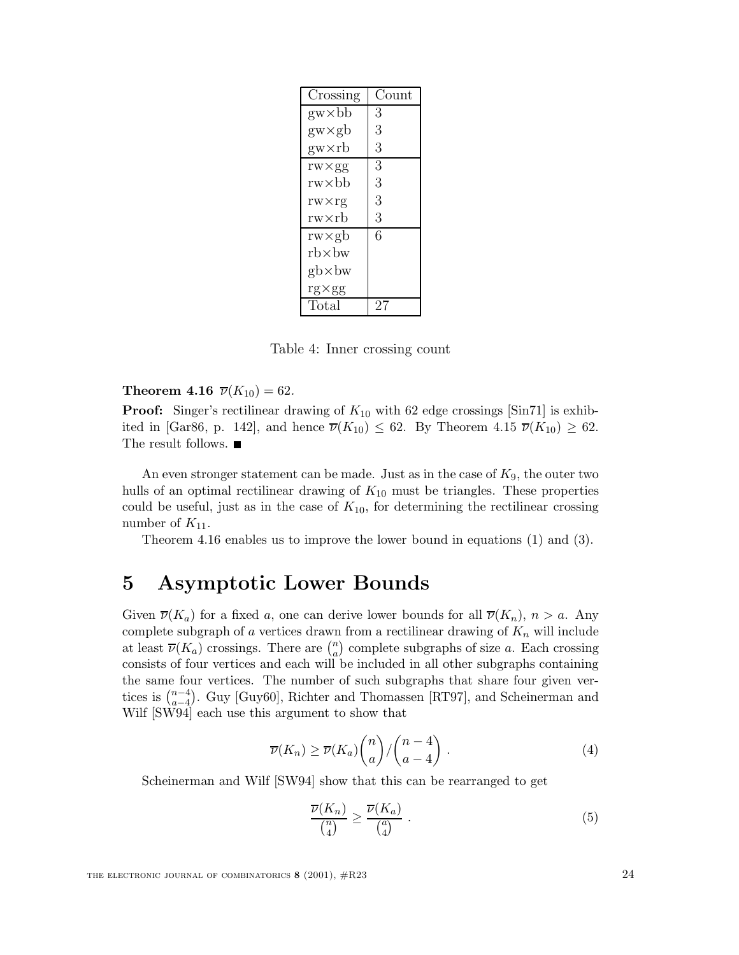| Crossing          | Count |
|-------------------|-------|
| $g_{W} \times bb$ | 3     |
| $gw \times gb$    | 3     |
| gw×rb             | 3     |
| $rw \times gg$    | 3     |
| rw×bb             | 3     |
| $rw \times rg$    | 3     |
| rw×rb             | 3     |
| rw×gb             | 6     |
| $rb \times bw$    |       |
| $gb \times bw$    |       |
| $rg \times gg$    |       |
| Total             | 2.    |

Table 4: Inner crossing count

**Theorem 4.16**  $\overline{\nu}(K_{10}) = 62$ .

**Proof:** Singer's rectilinear drawing of  $K_{10}$  with 62 edge crossings [Sin71] is exhibited in [Gar86, p. 142], and hence  $\overline{\nu}(K_{10}) \leq 62$ . By Theorem 4.15  $\overline{\nu}(K_{10}) \geq 62$ . The result follows.  $\blacksquare$ 

An even stronger statement can be made. Just as in the case of  $K_9$ , the outer two hulls of an optimal rectilinear drawing of  $K_{10}$  must be triangles. These properties could be useful, just as in the case of  $K_{10}$ , for determining the rectilinear crossing number of  $K_{11}$ .

Theorem 4.16 enables us to improve the lower bound in equations (1) and (3).

# **5 Asymptotic Lower Bounds**

Given  $\overline{\nu}(K_a)$  for a fixed a, one can derive lower bounds for all  $\overline{\nu}(K_n)$ ,  $n > a$ . Any complete subgraph of  $a$  vertices drawn from a rectilinear drawing of  $K_n$  will include at least  $\overline{\nu}(K_a)$  crossings. There are  $\binom{n}{a}$  complete subgraphs of size a. Each crossing<br>consists of four vertices and each will be included in all other subgraphs containing consists of four vertices and each will be included in all other subgraphs containing the same four vertices. The number of such subgraphs that share four given vertices is  $\binom{n-4}{a-d}$ . Guy [Guy60], Richter and Thomassen [RT97], and Scheinerman and Wilf [SW94] each use this argument to show that

$$
\overline{\nu}(K_n) \ge \overline{\nu}(K_a) {n \choose a} / {n-4 \choose a-4} . \tag{4}
$$

Scheinerman and Wilf [SW94] show that this can be rearranged to get

$$
\frac{\overline{\nu}(K_n)}{\binom{n}{4}} \ge \frac{\overline{\nu}(K_a)}{\binom{a}{4}}\,. \tag{5}
$$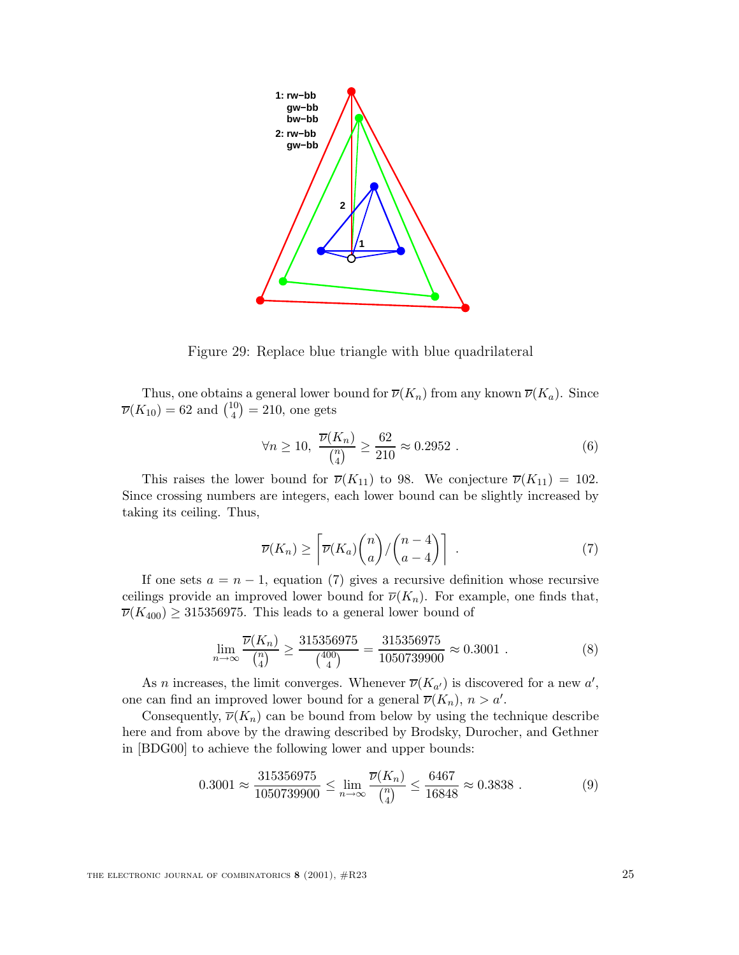

Figure 29: Replace blue triangle with blue quadrilateral

Thus, one obtains a general lower bound for  $\overline{\nu}(K_n)$  from any known  $\overline{\nu}(K_a)$ . Since  $\overline{\nu}(K_{10}) = 62$  and  $\binom{10}{4} = 210$ , one gets

$$
\forall n \ge 10, \ \frac{\overline{\nu}(K_n)}{\binom{n}{4}} \ge \frac{62}{210} \approx 0.2952 \ . \tag{6}
$$

This raises the lower bound for  $\overline{\nu}(K_{11})$  to 98. We conjecture  $\overline{\nu}(K_{11}) = 102$ . Since crossing numbers are integers, each lower bound can be slightly increased by taking its ceiling. Thus,

$$
\overline{\nu}(K_n) \ge \left[ \overline{\nu}(K_a) {n \choose a} / {n-4 \choose a-4} \right] . \tag{7}
$$

If one sets  $a = n - 1$ , equation (7) gives a recursive definition whose recursive ceilings provide an improved lower bound for  $\overline{\nu}(K_n)$ . For example, one finds that,  $\overline{\nu}(K_{400}) \geq 315356975$ . This leads to a general lower bound of

$$
\lim_{n \to \infty} \frac{\overline{\nu}(K_n)}{\binom{n}{4}} \ge \frac{315356975}{\binom{400}{4}} = \frac{315356975}{1050739900} \approx 0.3001 \ . \tag{8}
$$

As *n* increases, the limit converges. Whenever  $\overline{\nu}(K_{a'})$  is discovered for a new a', can find an improved lower bound for a separal  $\overline{\nu}(K)$ ,  $n > a'$ one can find an improved lower bound for a general  $\overline{\nu}(K_n)$ ,  $n > a'$ .<br>Consequently  $\overline{\nu}(K_n)$  can be bound from below by using the top

Consequently,  $\overline{\nu}(K_n)$  can be bound from below by using the technique describe here and from above by the drawing described by Brodsky, Durocher, and Gethner in [BDG00] to achieve the following lower and upper bounds:

$$
0.3001 \approx \frac{315356975}{1050739900} \le \lim_{n \to \infty} \frac{\overline{\nu}(K_n)}{\binom{n}{4}} \le \frac{6467}{16848} \approx 0.3838 \tag{9}
$$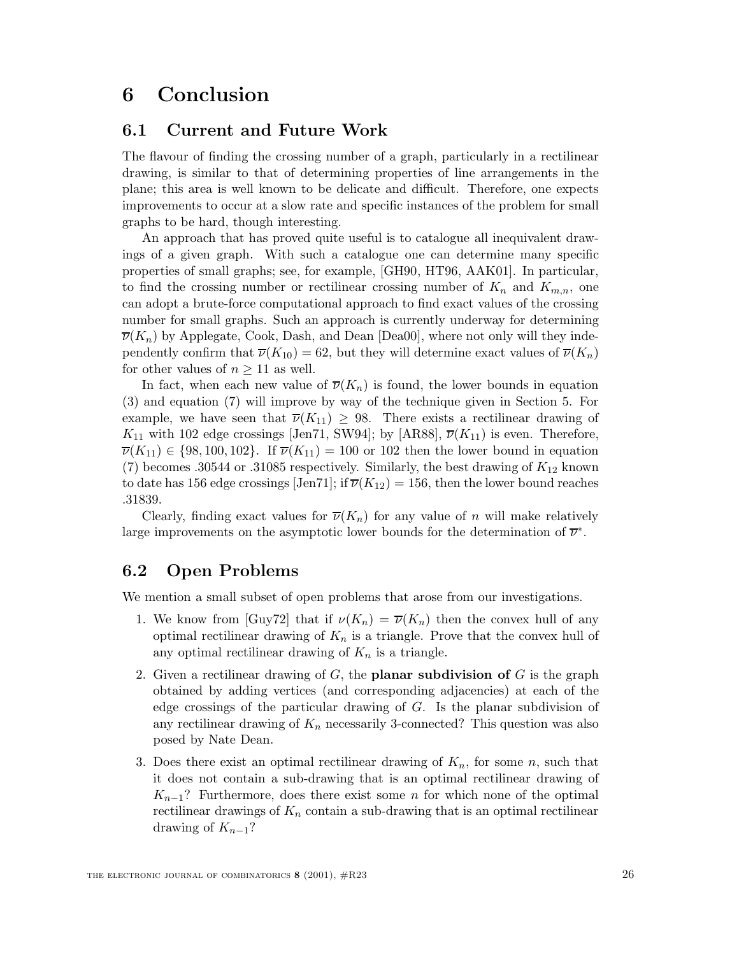# **6 Conclusion**

## **6.1 Current and Future Work**

The flavour of finding the crossing number of a graph, particularly in a rectilinear drawing, is similar to that of determining properties of line arrangements in the plane; this area is well known to be delicate and difficult. Therefore, one expects improvements to occur at a slow rate and specific instances of the problem for small graphs to be hard, though interesting.

An approach that has proved quite useful is to catalogue all inequivalent drawings of a given graph. With such a catalogue one can determine many specific properties of small graphs; see, for example, [GH90, HT96, AAK01]. In particular, to find the crossing number or rectilinear crossing number of  $K_n$  and  $K_{m,n}$ , one can adopt a brute-force computational approach to find exact values of the crossing number for small graphs. Such an approach is currently underway for determining  $\overline{\nu}(K_n)$  by Applegate, Cook, Dash, and Dean [Dea00], where not only will they independently confirm that  $\overline{\nu}(K_{10}) = 62$ , but they will determine exact values of  $\overline{\nu}(K_n)$ for other values of  $n \geq 11$  as well.

In fact, when each new value of  $\overline{\nu}(K_n)$  is found, the lower bounds in equation (3) and equation (7) will improve by way of the technique given in Section 5. For example, we have seen that  $\overline{\nu}(K_{11}) \geq 98$ . There exists a rectilinear drawing of  $K_{11}$  with 102 edge crossings [Jen71, SW94]; by [AR88],  $\overline{\nu}(K_{11})$  is even. Therefore,  $\overline{\nu}(K_{11}) \in \{98, 100, 102\}$ . If  $\overline{\nu}(K_{11}) = 100$  or 102 then the lower bound in equation (7) becomes .30544 or .31085 respectively. Similarly, the best drawing of  $K_{12}$  known to date has 156 edge crossings [Jen71]; if  $\overline{\nu}(K_{12}) = 156$ , then the lower bound reaches .31839.

Clearly, finding exact values for  $\overline{\nu}(K_n)$  for any value of n will make relatively large improvements on the asymptotic lower bounds for the determination of  $\overline{\nu}^*$ .

## **6.2 Open Problems**

We mention a small subset of open problems that arose from our investigations.

- 1. We know from [Guy72] that if  $\nu(K_n) = \overline{\nu}(K_n)$  then the convex hull of any optimal rectilinear drawing of  $K_n$  is a triangle. Prove that the convex hull of any optimal rectilinear drawing of  $K_n$  is a triangle.
- 2. Given a rectilinear drawing of G, the **planar subdivision of** G is the graph obtained by adding vertices (and corresponding adjacencies) at each of the edge crossings of the particular drawing of G. Is the planar subdivision of any rectilinear drawing of  $K_n$  necessarily 3-connected? This question was also posed by Nate Dean.
- 3. Does there exist an optimal rectilinear drawing of  $K_n$ , for some n, such that it does not contain a sub-drawing that is an optimal rectilinear drawing of  $K_{n-1}$ ? Furthermore, does there exist some *n* for which none of the optimal rectilinear drawings of  $K_n$  contain a sub-drawing that is an optimal rectilinear drawing of  $K_{n-1}$ ?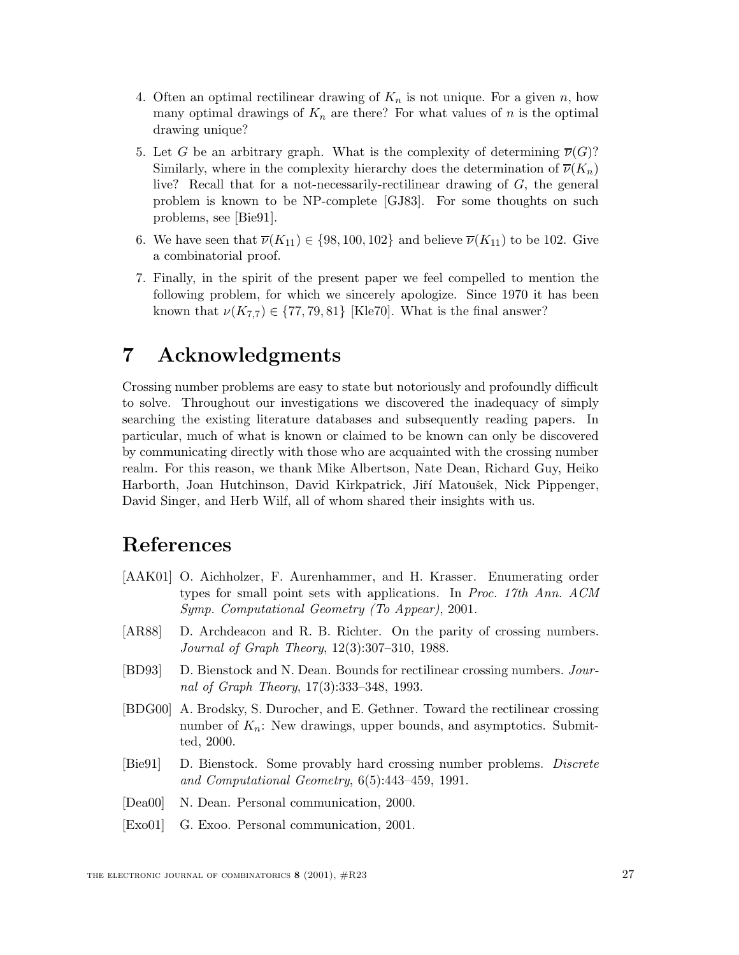- 4. Often an optimal rectilinear drawing of  $K_n$  is not unique. For a given n, how many optimal drawings of  $K_n$  are there? For what values of n is the optimal drawing unique?
- 5. Let G be an arbitrary graph. What is the complexity of determining  $\overline{\nu}(G)$ ? Similarly, where in the complexity hierarchy does the determination of  $\overline{\nu}(K_n)$ live? Recall that for a not-necessarily-rectilinear drawing of G, the general problem is known to be NP-complete [GJ83]. For some thoughts on such problems, see [Bie91].
- 6. We have seen that  $\overline{\nu}(K_{11}) \in \{98, 100, 102\}$  and believe  $\overline{\nu}(K_{11})$  to be 102. Give a combinatorial proof.
- 7. Finally, in the spirit of the present paper we feel compelled to mention the following problem, for which we sincerely apologize. Since 1970 it has been known that  $\nu(K_{7,7}) \in \{77, 79, 81\}$  [Kle70]. What is the final answer?

# **7 Acknowledgments**

Crossing number problems are easy to state but notoriously and profoundly difficult to solve. Throughout our investigations we discovered the inadequacy of simply searching the existing literature databases and subsequently reading papers. In particular, much of what is known or claimed to be known can only be discovered by communicating directly with those who are acquainted with the crossing number realm. For this reason, we thank Mike Albertson, Nate Dean, Richard Guy, Heiko Harborth, Joan Hutchinson, David Kirkpatrick, Jiří Matoušek, Nick Pippenger, David Singer, and Herb Wilf, all of whom shared their insights with us.

# **References**

- [AAK01] O. Aichholzer, F. Aurenhammer, and H. Krasser. Enumerating order types for small point sets with applications. In *Proc. 17th Ann. ACM Symp. Computational Geometry (To Appear)*, 2001.
- [AR88] D. Archdeacon and R. B. Richter. On the parity of crossing numbers. *Journal of Graph Theory*, 12(3):307–310, 1988.
- [BD93] D. Bienstock and N. Dean. Bounds for rectilinear crossing numbers. *Journal of Graph Theory*, 17(3):333–348, 1993.
- [BDG00] A. Brodsky, S. Durocher, and E. Gethner. Toward the rectilinear crossing number of  $K_n$ : New drawings, upper bounds, and asymptotics. Submitted, 2000.
- [Bie91] D. Bienstock. Some provably hard crossing number problems. *Discrete and Computational Geometry*, 6(5):443–459, 1991.
- [Dea00] N. Dean. Personal communication, 2000.
- [Exo01] G. Exoo. Personal communication, 2001.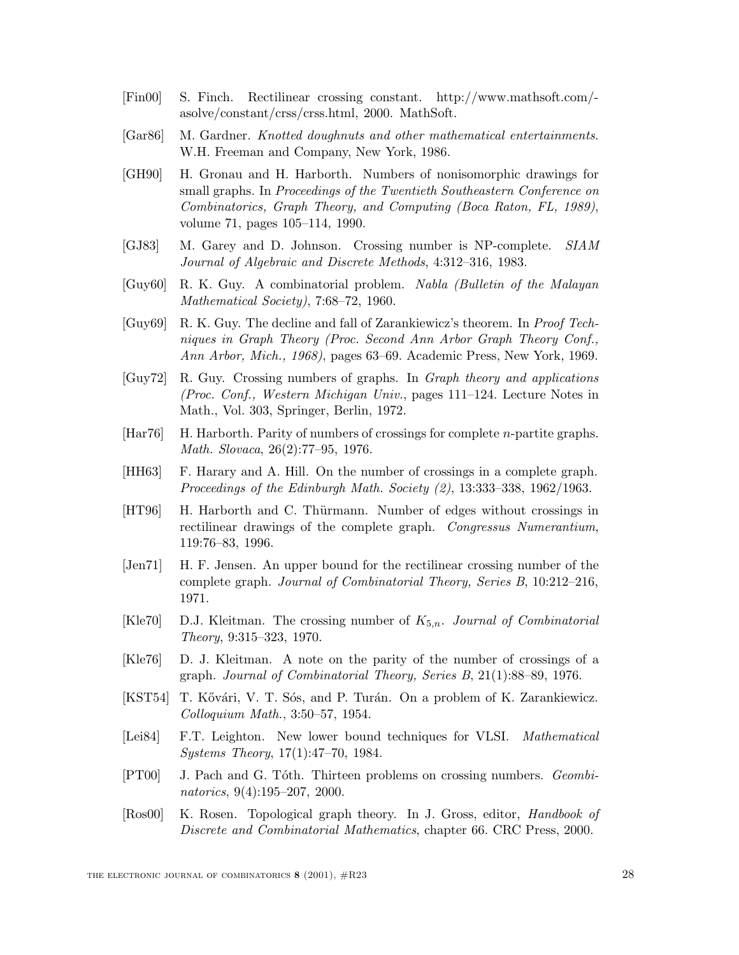- [Fin00] S. Finch. Rectilinear crossing constant. http://www.mathsoft.com/ asolve/constant/crss/crss.html, 2000. MathSoft.
- [Gar86] M. Gardner. *Knotted doughnuts and other mathematical entertainments*. W.H. Freeman and Company, New York, 1986.
- [GH90] H. Gronau and H. Harborth. Numbers of nonisomorphic drawings for small graphs. In *Proceedings of the Twentieth Southeastern Conference on Combinatorics, Graph Theory, and Computing (Boca Raton, FL, 1989)*, volume 71, pages 105–114, 1990.
- [GJ83] M. Garey and D. Johnson. Crossing number is NP-complete. *SIAM Journal of Algebraic and Discrete Methods*, 4:312–316, 1983.
- [Guy60] R. K. Guy. A combinatorial problem. *Nabla (Bulletin of the Malayan Mathematical Society)*, 7:68–72, 1960.
- [Guy69] R. K. Guy. The decline and fall of Zarankiewicz's theorem. In *Proof Techniques in Graph Theory (Proc. Second Ann Arbor Graph Theory Conf., Ann Arbor, Mich., 1968)*, pages 63–69. Academic Press, New York, 1969.
- [Guy72] R. Guy. Crossing numbers of graphs. In *Graph theory and applications (Proc. Conf., Western Michigan Univ.*, pages 111–124. Lecture Notes in Math., Vol. 303, Springer, Berlin, 1972.
- $[Har76]$  H. Harborth. Parity of numbers of crossings for complete *n*-partite graphs. *Math. Slovaca*, 26(2):77–95, 1976.
- [HH63] F. Harary and A. Hill. On the number of crossings in a complete graph. *Proceedings of the Edinburgh Math. Society (2)*, 13:333–338, 1962/1963.
- [HT96] H. Harborth and C. Thürmann. Number of edges without crossings in rectilinear drawings of the complete graph. *Congressus Numerantium*, 119:76–83, 1996.
- [Jen71] H. F. Jensen. An upper bound for the rectilinear crossing number of the complete graph. *Journal of Combinatorial Theory, Series B*, 10:212–216, 1971.
- [Kle70] D.J. Kleitman. The crossing number of <sup>K</sup>5,n. *Journal of Combinatorial Theory*, 9:315–323, 1970.
- [Kle76] D. J. Kleitman. A note on the parity of the number of crossings of a graph. *Journal of Combinatorial Theory, Series B*, 21(1):88–89, 1976.
- [KST54] T. Kővári, V. T. Sós, and P. Turán. On a problem of K. Zarankiewicz. *Colloquium Math.*, 3:50–57, 1954.
- [Lei84] F.T. Leighton. New lower bound techniques for VLSI. *Mathematical Systems Theory*, 17(1):47–70, 1984.
- [PT00] J. Pach and G. T´oth. Thirteen problems on crossing numbers. *Geombinatorics*, 9(4):195–207, 2000.
- [Ros00] K. Rosen. Topological graph theory. In J. Gross, editor, *Handbook of Discrete and Combinatorial Mathematics*, chapter 66. CRC Press, 2000.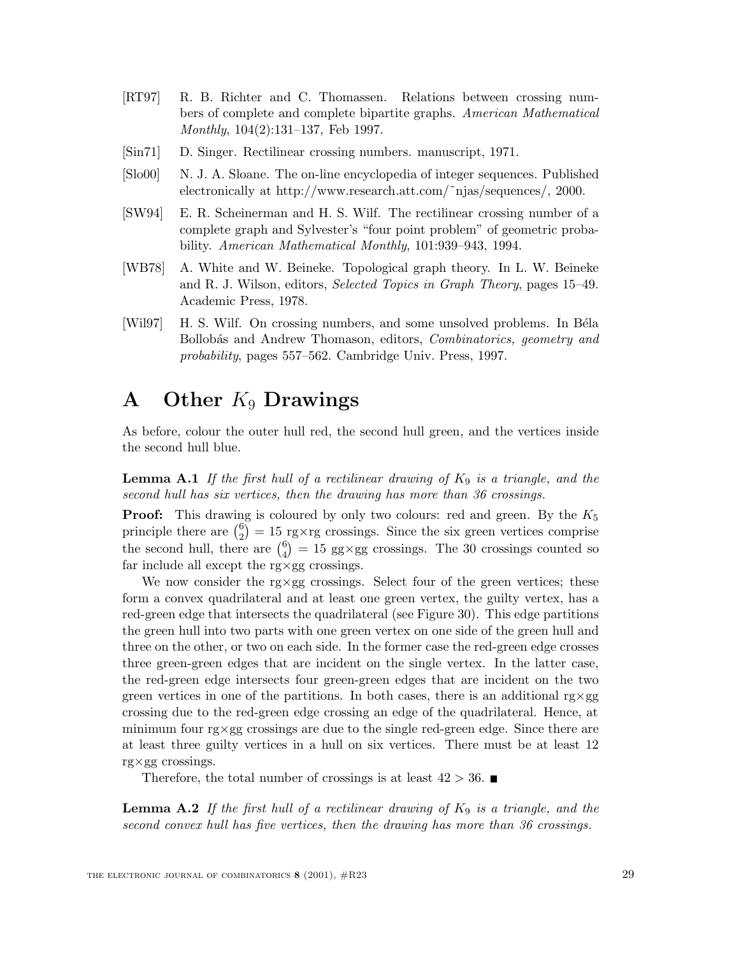- [RT97] R. B. Richter and C. Thomassen. Relations between crossing numbers of complete and complete bipartite graphs. *American Mathematical Monthly*, 104(2):131–137, Feb 1997.
- [Sin71] D. Singer. Rectilinear crossing numbers. manuscript, 1971.
- [Slo00] N. J. A. Sloane. The on-line encyclopedia of integer sequences. Published electronically at http://www.research.att.com/˜njas/sequences/, 2000.
- [SW94] E. R. Scheinerman and H. S. Wilf. The rectilinear crossing number of a complete graph and Sylvester's "four point problem" of geometric probability. *American Mathematical Monthly*, 101:939–943, 1994.
- [WB78] A. White and W. Beineke. Topological graph theory. In L. W. Beineke and R. J. Wilson, editors, *Selected Topics in Graph Theory*, pages 15–49. Academic Press, 1978.
- [Wil97] H. S. Wilf. On crossing numbers, and some unsolved problems. In Béla Bollob´as and Andrew Thomason, editors, *Combinatorics, geometry and probability*, pages 557–562. Cambridge Univ. Press, 1997.

# **A Other** K<sup>9</sup> **Drawings**

As before, colour the outer hull red, the second hull green, and the vertices inside the second hull blue.

**Lemma A.1** *If the first hull of a rectilinear drawing of* <sup>K</sup><sup>9</sup> *is a triangle, and the second hull has six vertices, then the drawing has more than 36 crossings.*

**Proof:** This drawing is coloured by only two colours: red and green. By the  $K_5$ principle there are  $\binom{6}{2} = 15$  rg×rg crossings. Since the six green vertices comprise the second hull, there are  $\binom{6}{4} = 15$  gg×gg crossings. The 30 crossings counted so far include all except the rg×gg crossings.

We now consider the rg $\times$ gg crossings. Select four of the green vertices; these form a convex quadrilateral and at least one green vertex, the guilty vertex, has a red-green edge that intersects the quadrilateral (see Figure 30). This edge partitions the green hull into two parts with one green vertex on one side of the green hull and three on the other, or two on each side. In the former case the red-green edge crosses three green-green edges that are incident on the single vertex. In the latter case, the red-green edge intersects four green-green edges that are incident on the two green vertices in one of the partitions. In both cases, there is an additional  $\gamma \times g$ crossing due to the red-green edge crossing an edge of the quadrilateral. Hence, at minimum four rg×gg crossings are due to the single red-green edge. Since there are at least three guilty vertices in a hull on six vertices. There must be at least 12 rg×gg crossings.

Therefore, the total number of crossings is at least  $42 > 36$ .

**Lemma A.2** *If the first hull of a rectilinear drawing of*  $K_9$  *is a triangle, and the second convex hull has five vertices, then the drawing has more than 36 crossings.*